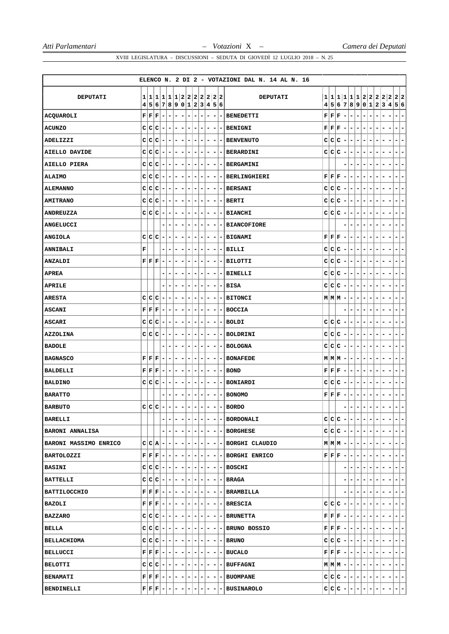|                        |                                                                                       |   |                                                                                                        |                          |                          |                          |                                                     |                          |          |                              |                          |                          |                          | ELENCO N. 2 DI 2 - VOTAZIONI DAL N. 14 AL N. 16 |   |                                                                                       |                          |     |                                  |                                                          |                          |                          |       |                                                        |
|------------------------|---------------------------------------------------------------------------------------|---|--------------------------------------------------------------------------------------------------------|--------------------------|--------------------------|--------------------------|-----------------------------------------------------|--------------------------|----------|------------------------------|--------------------------|--------------------------|--------------------------|-------------------------------------------------|---|---------------------------------------------------------------------------------------|--------------------------|-----|----------------------------------|----------------------------------------------------------|--------------------------|--------------------------|-------|--------------------------------------------------------|
| <b>DEPUTATI</b>        | 1 1                                                                                   |   |                                                                                                        |                          |                          |                          | 1 1 1 1 2 2 2 2 2 2 2 <br>4 5 6 7 8 9 0 1 2 3 4 5 6 |                          |          |                              |                          |                          |                          | <b>DEPUTATI</b>                                 |   |                                                                                       |                          |     |                                  |                                                          |                          |                          |       | 1 1 1 1 1 1 2 2 2 2 2 2 2<br>4 5 6 7 8 9 0 1 2 3 4 5 6 |
| ACQUAROLI              | ${\bf F}   {\bf F}$                                                                   |   | $ \mathbf{F} $                                                                                         | $\overline{\phantom{a}}$ | $\overline{\phantom{a}}$ | $\overline{\phantom{0}}$ | ۰                                                   | $\overline{\phantom{a}}$ | -        | $\qquad \qquad \blacksquare$ | $\overline{\phantom{a}}$ | -                        | $\overline{\phantom{a}}$ | <b>BENEDETTI</b>                                |   | $\mathbf{F} \, \, \mathbf{F} \, \, \mathbf{F}$                                        | $\overline{\phantom{a}}$ | -   | ۰                                | -<br>$\overline{\phantom{a}}$                            |                          |                          | -     | ۰<br>-                                                 |
| <b>ACUNZO</b>          | C C                                                                                   |   | C                                                                                                      | ۰                        | $\overline{\phantom{a}}$ | ۰                        | ۰                                                   | $\overline{\phantom{a}}$ | -        | -                            | ۰                        | ۰                        | ۰                        | <b>BENIGNI</b>                                  |   | $\mathbf{F} \mathbf{F} \mathbf{F}$                                                    | $\overline{\phantom{a}}$ | ۰   | $\overline{\phantom{a}}$         | ۰<br>-                                                   | ۰                        | -                        |       | ۰.<br>۰                                                |
| ADELIZZI               |                                                                                       |   | $C C C$ -                                                                                              |                          | $\overline{\phantom{a}}$ | $\overline{\phantom{a}}$ | ۰                                                   | $\overline{\phantom{a}}$ | -        | $\qquad \qquad \blacksquare$ | ۰                        | -                        | $\blacksquare$           | <b>BENVENUTO</b>                                |   | C C C                                                                                 | $\overline{\phantom{a}}$ | -   | -                                | -<br>-                                                   |                          |                          |       | $\overline{\phantom{a}}$<br>-                          |
| <b>AIELLO DAVIDE</b>   | c∣c                                                                                   |   | c                                                                                                      | $\overline{\phantom{a}}$ | $\overline{\phantom{a}}$ | -                        | $\overline{\phantom{a}}$                            | $\overline{\phantom{a}}$ | ۰        | ۰                            | $\overline{\phantom{a}}$ | $\blacksquare$           |                          | - BERARDINI                                     |   | C C C                                                                                 | $\sim$                   | -   | ۰                                | $\overline{\phantom{a}}$<br>$\overline{\phantom{a}}$     | ۰                        | ۰                        | -     | -<br>$\blacksquare$                                    |
| AIELLO PIERA           | C C                                                                                   |   | C                                                                                                      | $\overline{\phantom{a}}$ | $\overline{\phantom{a}}$ | ۰                        | $\overline{\phantom{a}}$                            | $\overline{\phantom{a}}$ | ۰        | $\overline{\phantom{a}}$     | $\overline{\phantom{a}}$ | ۰                        |                          | - BERGAMINI                                     |   |                                                                                       |                          | -   | ۰                                | $\overline{\phantom{a}}$<br>-                            | ۰                        | -                        | -     | Ξ.<br>-                                                |
| <b>ALAIMO</b>          | c c                                                                                   |   | c                                                                                                      | $\overline{\phantom{a}}$ | ۰                        | $\overline{\phantom{a}}$ | ۰                                                   | $\overline{\phantom{a}}$ | -        | ۰                            | ۰                        | -                        | $\overline{\phantom{a}}$ | BERLINGHIERI                                    |   | ${\bf F} \,   \, {\bf F} \,   \, {\bf F} \,  $                                        | $\sim$                   | -   | ۰                                | $\overline{\phantom{a}}$                                 |                          |                          |       | -<br>$\blacksquare$                                    |
| <b>ALEMANNO</b>        | c∣c                                                                                   |   | c                                                                                                      | $\overline{\phantom{a}}$ | $\blacksquare$           | -1                       | $\overline{\phantom{a}}$                            | $\overline{\phantom{a}}$ | ۰        | $\blacksquare$               | $\overline{\phantom{a}}$ | -                        |                          | - BERSANI                                       |   | C C C                                                                                 | $\overline{a}$           |     | -1-                              | $\qquad \qquad \blacksquare$<br>$\overline{\phantom{a}}$ | ۰                        | ۰                        | -     | -<br>$\blacksquare$                                    |
| <b>AMITRANO</b>        | C C                                                                                   |   | c                                                                                                      | $\overline{\phantom{a}}$ | ۰                        | -                        | $\overline{\phantom{a}}$                            | $\overline{\phantom{a}}$ | ۰        | $\overline{\phantom{a}}$     | $\overline{\phantom{a}}$ | $\overline{\phantom{a}}$ | $\overline{\phantom{a}}$ | <b>BERTI</b>                                    | c | c c                                                                                   | $\overline{a}$           | -   | ۰                                | ۰<br>$\overline{\phantom{a}}$                            | ۰                        | ۰                        | -     | $\blacksquare$<br>۳                                    |
| ANDREUZZA              | c c                                                                                   |   | c                                                                                                      | ۰                        | ۰                        | ۰                        | ۰                                                   | ۰                        | -        | ۰                            | ۰                        | -                        |                          | <b>BIANCHI</b>                                  |   | C C C                                                                                 | $\overline{\phantom{a}}$ | -   | ۰                                | ۰                                                        |                          |                          |       | -<br>$\overline{\phantom{a}}$                          |
| <b>ANGELUCCI</b>       |                                                                                       |   |                                                                                                        |                          | ۰                        | ۰                        | $\overline{\phantom{a}}$                            | $\overline{\phantom{a}}$ | ۰        | $\overline{\phantom{a}}$     | -                        | ۰                        |                          | - BIANCOFIORE                                   |   |                                                                                       |                          | -   | ۰                                | -<br>۰                                                   | ۰                        | -                        | ۰     | -<br>$\overline{\phantom{a}}$                          |
| <b>ANGIOLA</b>         | c                                                                                     | c | C                                                                                                      | $\overline{\phantom{a}}$ | ۰                        | ۰                        | ۰                                                   | ٠                        | ۰        | ۰                            | ۰                        | ۰                        | $\overline{\phantom{a}}$ | <b>BIGNAMI</b>                                  |   | $\mathbf{F} \mathbf{F} \mathbf{F}$                                                    | $\overline{\phantom{a}}$ | -   | ۰                                | -<br>۰                                                   |                          | ۰                        | -     | -<br>۰                                                 |
| <b>ANNIBALI</b>        | F                                                                                     |   |                                                                                                        |                          | ۰                        | ۰                        | -                                                   | $\overline{\phantom{a}}$ | -        | ۰                            | ۰                        | -                        | -                        | <b>BILLI</b>                                    |   | C C C                                                                                 | $\overline{\phantom{a}}$ | -   | ۰                                | -<br>-                                                   |                          | -                        |       | -<br>٠                                                 |
| ANZALDI                | ${\bf F} \,   \, {\bf F} \,   \, {\bf F} \,  $                                        |   |                                                                                                        | $\overline{\phantom{a}}$ | -                        | ۰                        | $\overline{\phantom{a}}$                            | $\overline{\phantom{a}}$ | -        | $\qquad \qquad \blacksquare$ | $\overline{\phantom{a}}$ | -                        |                          | -   BILOTTI                                     |   | C C C                                                                                 | $\overline{\phantom{a}}$ | -   | $\blacksquare$                   | $\overline{\phantom{a}}$<br>-                            |                          | -                        |       | ۰<br>Ξ.                                                |
| <b>APREA</b>           |                                                                                       |   |                                                                                                        |                          | ۰                        | -                        |                                                     | $\overline{\phantom{a}}$ | -        | ۰                            | ۰                        | -                        | -                        | <b>BINELLI</b>                                  | c | c c                                                                                   | $\blacksquare$           | -   | ۰                                | -<br>۰                                                   |                          | -                        |       | -<br>۰                                                 |
| <b>APRILE</b>          |                                                                                       |   |                                                                                                        |                          | ۰                        | ۰                        | -                                                   | ۰                        | -        | ۰                            | ۰                        | ۰                        | ۰.                       | <b>BISA</b>                                     |   | C C C                                                                                 | $\overline{\phantom{a}}$ | ۰   | ۰                                | $\overline{\phantom{a}}$<br>-                            | -                        | ۰                        |       | -<br>۰                                                 |
| <b>ARESTA</b>          |                                                                                       |   | $C C C$ -                                                                                              |                          | $\overline{\phantom{a}}$ | $\overline{\phantom{a}}$ | $\overline{\phantom{a}}$                            | $\overline{\phantom{a}}$ | -        | -                            | $\overline{\phantom{a}}$ | -                        |                          | <b>BITONCI</b>                                  |   | $M M M $ –                                                                            |                          | ۰   | $\blacksquare$                   | $\overline{\phantom{a}}$<br>$\qquad \qquad -$            |                          | -                        |       | $\blacksquare$<br>۰                                    |
| <b>ASCANI</b>          | ${\bf F}   {\bf F}$                                                                   |   | $ \mathbf{F} $                                                                                         | $\overline{\phantom{a}}$ | ٠                        | ۰                        | $\overline{\phantom{a}}$                            | $\overline{\phantom{a}}$ | -        | ۰                            | $\overline{\phantom{a}}$ | -                        | $\overline{\phantom{a}}$ | <b>BOCCIA</b>                                   |   |                                                                                       |                          | -   | ۰                                | $\overline{\phantom{a}}$<br>-                            |                          | -                        | -     | $\blacksquare$<br>-                                    |
| <b>ASCARI</b>          | C C                                                                                   |   | c                                                                                                      | ۰                        | ۰                        | -                        | ۰                                                   | ۰                        | -        | ۰                            | ۰                        | -                        | ۰                        | <b>BOLDI</b>                                    |   | C C C                                                                                 | $\overline{\phantom{a}}$ | ۰   | ۰                                | ۰<br>-                                                   |                          |                          |       | ۰<br>۰                                                 |
| <b>AZZOLINA</b>        |                                                                                       |   | $C C C$ -                                                                                              |                          | -                        | $\overline{\phantom{0}}$ |                                                     | $\overline{\phantom{a}}$ |          | ۰                            | ۰                        | -                        |                          | <b>BOLDRINI</b>                                 |   | $C C C$ -                                                                             |                          | ۰   | ۰                                | $\overline{\phantom{a}}$<br>-                            |                          | ۰                        |       | -<br>۰                                                 |
| <b>BADOLE</b>          |                                                                                       |   |                                                                                                        |                          | ۰                        | ۰                        | ۰                                                   | $\overline{\phantom{a}}$ | ۰        | ۰                            | ۰                        | $\overline{\phantom{a}}$ | $\overline{\phantom{a}}$ | <b>BOLOGNA</b>                                  |   | C C C                                                                                 | $\blacksquare$           | -   | -                                | ۰<br>۰                                                   | ۰                        | -                        | -     | ٠<br>-                                                 |
| <b>BAGNASCO</b>        | ${\bf F}   {\bf F}$                                                                   |   | F                                                                                                      | $\overline{\phantom{a}}$ | ۰                        | ۰                        | ۰                                                   | $\overline{\phantom{a}}$ | -        | ۰                            | $\overline{\phantom{a}}$ | -                        | ۰                        | <b>BONAFEDE</b>                                 |   | $M M M $ –                                                                            |                          | ۰   | $\overline{\phantom{a}}$         | $\overline{\phantom{a}}$<br>-                            | ۰                        |                          |       | ۰<br>۰                                                 |
| BALDELLI               |                                                                                       |   | $\mathbf{F} \left  \mathbf{F} \right  \mathbf{F} \left  - \right.$                                     |                          | $\overline{\phantom{a}}$ | $\overline{\phantom{0}}$ | ۰                                                   | $\overline{\phantom{a}}$ | -        | ۰                            | ۰                        | -                        |                          | <b>BOND</b>                                     |   | ${\bf F} \,   \, {\bf F} \,   \, {\bf F} \,  $                                        | $\overline{a}$           | ۰   | ۰                                | ۰<br>-                                                   |                          | ۰                        |       | $\blacksquare$<br>-                                    |
| <b>BALDINO</b>         | c c                                                                                   |   | c                                                                                                      | $\overline{\phantom{0}}$ | $\overline{\phantom{a}}$ | $\overline{\phantom{a}}$ | $\overline{\phantom{a}}$                            | $\overline{\phantom{a}}$ | ۰        | $\blacksquare$               | $\overline{\phantom{a}}$ | $\overline{\phantom{a}}$ | $\blacksquare$           | <b>BONIARDI</b>                                 | C | c c                                                                                   | $\overline{\phantom{a}}$ | -   | $\overline{\phantom{a}}$         | $\overline{\phantom{a}}$<br>$\qquad \qquad \blacksquare$ | ۰                        | ۰                        | -     | $\overline{\phantom{0}}$<br>$\overline{\phantom{a}}$   |
| <b>BARATTO</b>         |                                                                                       |   |                                                                                                        |                          | $\overline{\phantom{a}}$ | ۰                        | $\overline{\phantom{a}}$                            | $\overline{\phantom{a}}$ | -        | ۰                            | $\overline{\phantom{a}}$ | -                        | ۰                        | <b>BONOMO</b>                                   |   | $\mathbf{F} \mathbf{F} \mathbf{F}$                                                    | $\overline{\phantom{a}}$ | -   | ۰                                | $\overline{\phantom{a}}$<br>-                            | Ξ.                       | -                        |       | Ξ.<br>۰                                                |
| <b>BARBUTO</b>         |                                                                                       |   | $c c c$ -                                                                                              |                          |                          |                          |                                                     |                          |          |                              |                          |                          |                          | <b>BORDO</b>                                    |   |                                                                                       |                          |     |                                  |                                                          |                          |                          |       |                                                        |
| BARELLI                |                                                                                       |   |                                                                                                        |                          | $\overline{\phantom{a}}$ | - 1                      |                                                     | $\overline{\phantom{a}}$ | - 1-1    |                              | ۰.                       |                          |                          | $- - BORDONALL$                                 |   |                                                                                       |                          |     | $C C C - - - - - $               |                                                          |                          | -1                       |       | $ -$                                                   |
| <b>BARONI ANNALISA</b> |                                                                                       |   |                                                                                                        |                          | ۰                        | - 1                      | ٠                                                   | $-1$                     | $ -$     |                              |                          |                          |                          | $- - $ - BORGHESE                               |   |                                                                                       |                          |     | $C C C - - - - - $               |                                                          | $\overline{ }$           | $\overline{\phantom{a}}$ | -     | $ -$                                                   |
| BARONI MASSIMO ENRICO  |                                                                                       |   | $C C A -$                                                                                              |                          |                          | - 1                      | $\overline{\phantom{a}}$                            | $\overline{\phantom{a}}$ | ۰.       | ٠                            | Ξ.                       |                          |                          | - - BORGHI CLAUDIO                              |   |                                                                                       |                          |     | $M M M  -   -   -  - $           | $\overline{\phantom{a}}$                                 | н.                       | -                        |       | $- -$                                                  |
| <b>BARTOLOZZI</b>      |                                                                                       |   | $\mathbf{F} \left  \mathbf{F} \right  \mathbf{F} \left  - \left  - \left  - \right  - \right  \right $ |                          |                          |                          |                                                     | $\overline{a}$           | -1-1     |                              | $-1$                     |                          |                          | $- - $ BORGHI ENRICO                            |   |                                                                                       |                          |     | $F[F F - - - - $                 |                                                          | $\overline{\phantom{a}}$ | $-1$                     | ٠     | $ -$                                                   |
| <b>BASINI</b>          |                                                                                       |   | $C C C - - - -$                                                                                        |                          |                          |                          |                                                     | $\blacksquare$           | $- -$    |                              | $-1$                     |                          |                          | $- - $ BOSCHI                                   |   |                                                                                       | -                        | ۰   | ۰                                | $\overline{\phantom{a}}$<br>- 1                          |                          | ۰                        | -     | $\blacksquare$<br>$\overline{ }$                       |
| <b>BATTELLI</b>        |                                                                                       |   | $ C C - - $                                                                                            |                          |                          | $- - $                   |                                                     | $\overline{a}$           | -   -    |                              | $-1$                     |                          |                          | $- - $ BRAGA                                    |   |                                                                                       |                          | Ξ.  | ۰                                | $\overline{\phantom{a}}$<br>$\overline{\phantom{0}}$     | $\overline{\phantom{a}}$ | -                        | ۰     | $- -$                                                  |
| <b>BATTILOCCHIO</b>    |                                                                                       |   | $\mathbf{F}\left[\left.\mathbf{F}\,\right \mathbf{F}\,\right]-\left[-\left[-\right]\,-\right]$         |                          |                          |                          |                                                     | $\overline{a}$           | -1-1     |                              | $\overline{\phantom{a}}$ | $\overline{\phantom{a}}$ |                          | - BRAMBILLA                                     |   |                                                                                       |                          |     |                                  |                                                          |                          |                          |       | $-1-$                                                  |
| <b>BAZOLI</b>          |                                                                                       |   | $\mathbf{F} \left  \mathbf{F} \left  \mathbf{F} \right  - \left  - \left  - \right  - \right  \right $ |                          |                          |                          |                                                     | $\overline{a}$           | -   -    |                              | $-1$                     |                          |                          | $- - BRESCIA $                                  |   | C C C                                                                                 | $\overline{a}$           | - 1 | ۰                                | $\overline{\phantom{a}}$<br>$\overline{\phantom{0}}$     |                          | ۰                        |       | $\overline{\phantom{a}}$<br>$\overline{a}$             |
| BAZZARO                |                                                                                       |   | $c c c - - - $                                                                                         |                          |                          |                          |                                                     | $\overline{\phantom{0}}$ | -1-1     |                              | $\overline{\phantom{0}}$ |                          |                          | $- - $ BRUNETTA                                 |   | $\mathbf{F} \left  \mathbf{F} \right  \mathbf{F} \left  - \right  - \left  - \right $ |                          |     |                                  | $-1$<br>۰.                                               | н.                       | ۰.                       |       | $=$ $=$                                                |
| BELLA                  |                                                                                       |   |                                                                                                        |                          |                          |                          | $c c c $ - $ - - - - $                              |                          | -1-1     |                              | $-1$                     | $\overline{\phantom{a}}$ |                          | - BRUNO BOSSIO                                  |   | $\mathbf{F} \left[ \mathbf{F} \left  \mathbf{F} \right  - \left  - \right  - \right]$ |                          |     |                                  | $-1-$                                                    | $\overline{ }$           | $\overline{\phantom{a}}$ | ۰     | $ - -$                                                 |
| <b>BELLACHIOMA</b>     |                                                                                       |   | c c c - - - -                                                                                          |                          |                          |                          |                                                     | $\blacksquare$           | - 1      | $\vert - \vert$              | $-1$                     |                          |                          | $- - $ BRUNO                                    |   | $c c c - - $                                                                          |                          |     |                                  | $\blacksquare$<br>$-1$                                   | $\overline{\phantom{a}}$ | ۰                        | ۰     | $\blacksquare$<br>$\overline{ }$                       |
| <b>BELLUCCI</b>        |                                                                                       |   | $\mathbf{F} \mid \mathbf{F} \mid \mathbf{F} \mid - \mid - \mid - \mid - \mid$                          |                          |                          |                          |                                                     | $-1$                     | -1-1     |                              | Ξ.                       | ٠                        |                          | - BUCALO                                        |   | $\mathbf{F} \left  \mathbf{F} \right  \mathbf{F} \left  - \right  - \left  - \right $ |                          |     |                                  | $-1$<br>٠                                                | ۰.                       | ۰                        | ۰     | $=$ $=$                                                |
| <b>BELOTTI</b>         |                                                                                       |   |                                                                                                        |                          |                          |                          | $c c c $ - $ - - - - $                              |                          | -1-1     |                              | $-1$                     | $\overline{\phantom{a}}$ |                          | - BUFFAGNI                                      |   |                                                                                       |                          |     | $M M M  -   -   -   -   -   -  $ |                                                          |                          | -1                       | -     | $ - -$                                                 |
| <b>BENAMATI</b>        | $\mathbf{F} \left  \mathbf{F} \right  \mathbf{F} \left  - \right  - \left  - \right $ |   |                                                                                                        |                          |                          |                          |                                                     |                          | $- - - $ |                              |                          |                          |                          | $- - $ BUOMPANE                                 |   |                                                                                       |                          |     | $c c c - - - - - $               |                                                          |                          |                          | $- -$ | $\left  - \right $ – $\left $                          |
| BENDINELLI             |                                                                                       |   | $\mathbf{F} \left  \mathbf{F} \right  \mathbf{F} \left  - \left  - \right  - \left  - \right  \right $ |                          |                          |                          |                                                     | $\overline{\phantom{0}}$ | $- - $   |                              | $-1$                     | -                        |                          | - BUSINAROLO                                    |   |                                                                                       |                          |     | $c c c - - - - - - $             |                                                          |                          |                          |       | $ - -$                                                 |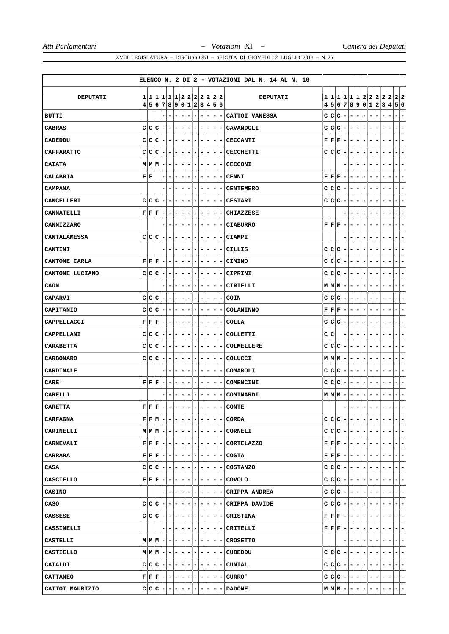|                   |                        |   |                                                                                                        |                          |                          |   |                              |                          |                          |                              |                          |                              |                              |                          | ELENCO N. 2 DI 2 - VOTAZIONI DAL N. 14 AL N. 16                                      |   |                                           |                                                                                                                                                                                                                                                                                                                                                                                                                        |                          |                          |                              |                          |                                   |                          |                          |                                     |  |
|-------------------|------------------------|---|--------------------------------------------------------------------------------------------------------|--------------------------|--------------------------|---|------------------------------|--------------------------|--------------------------|------------------------------|--------------------------|------------------------------|------------------------------|--------------------------|--------------------------------------------------------------------------------------|---|-------------------------------------------|------------------------------------------------------------------------------------------------------------------------------------------------------------------------------------------------------------------------------------------------------------------------------------------------------------------------------------------------------------------------------------------------------------------------|--------------------------|--------------------------|------------------------------|--------------------------|-----------------------------------|--------------------------|--------------------------|-------------------------------------|--|
| DEPUTATI          |                        |   | 1 1 1 1 1 1 2 2 2 2 2 2 2                                                                              |                          |                          |   |                              |                          |                          |                              |                          |                              |                              |                          | <b>DEPUTATI</b>                                                                      |   |                                           |                                                                                                                                                                                                                                                                                                                                                                                                                        |                          |                          |                              |                          |                                   |                          |                          | 1 1 1 1 1 1 2 2 2 2 2 2 2           |  |
|                   |                        |   | 4 5 6 7 8 9 0 1 2 3 4 5 6                                                                              |                          |                          |   |                              |                          |                          |                              |                          |                              |                              |                          |                                                                                      | 4 |                                           |                                                                                                                                                                                                                                                                                                                                                                                                                        |                          |                          |                              |                          |                                   |                          |                          | 5 6 7 8 9 0 1 2 3 4 5 6             |  |
| <b>BUTTI</b>      |                        |   |                                                                                                        |                          | $\blacksquare$           | - | $\overline{\phantom{a}}$     | $\overline{\phantom{a}}$ | $\overline{\phantom{a}}$ | -                            | $\overline{\phantom{a}}$ |                              | $\overline{a}$               |                          | CATTOI VANESSA                                                                       | c | c c                                       |                                                                                                                                                                                                                                                                                                                                                                                                                        | $\overline{\phantom{a}}$ | ۰                        | $\overline{\phantom{a}}$     | $\overline{\phantom{a}}$ | -<br>-                            |                          | -                        | -                                   |  |
| <b>CABRAS</b>     | c c                    |   | c                                                                                                      |                          |                          | - |                              | $\overline{\phantom{a}}$ |                          |                              |                          | -                            | -                            |                          | CAVANDOLI                                                                            |   | C C C                                     |                                                                                                                                                                                                                                                                                                                                                                                                                        | $\overline{\phantom{a}}$ | ۰                        | $\overline{\phantom{a}}$     | $\overline{\phantom{a}}$ |                                   |                          |                          | -                                   |  |
| CADEDDU           | c c                    |   | c                                                                                                      | $\overline{\phantom{a}}$ | $\blacksquare$           | - | $\overline{\phantom{a}}$     | $\overline{\phantom{a}}$ | -                        | $\overline{\phantom{0}}$     |                          | $\qquad \qquad \blacksquare$ | $\overline{\phantom{a}}$     | $\blacksquare$           | <b>CECCANTI</b>                                                                      |   | ${\bf F} \,   \, {\bf F} \,   \, {\bf F}$ |                                                                                                                                                                                                                                                                                                                                                                                                                        | $\overline{\phantom{a}}$ | $\blacksquare$           | $\overline{\phantom{a}}$     | $\overline{\phantom{a}}$ | -<br>-                            | $\overline{a}$           |                          | -                                   |  |
| <b>CAFFARATTO</b> | c                      | c | c                                                                                                      |                          | $\overline{\phantom{a}}$ | ۰ | $\overline{\phantom{a}}$     | $\overline{\phantom{a}}$ | $\overline{\phantom{a}}$ | $\qquad \qquad \blacksquare$ |                          | $\qquad \qquad -$            | $\overline{\phantom{a}}$     | ۰.                       | <b>CECCHETTI</b>                                                                     |   | c c c                                     |                                                                                                                                                                                                                                                                                                                                                                                                                        | $\blacksquare$           | -                        | $\qquad \qquad \blacksquare$ | $\overline{\phantom{a}}$ | -<br>-                            | -                        | -                        | -                                   |  |
| <b>CAIATA</b>     |                        |   | $M$ $M$ $M$ $-$                                                                                        |                          | $\overline{\phantom{a}}$ | - | ۰                            | $\overline{\phantom{a}}$ | -                        | ۰                            |                          | -                            | -                            | ۰                        | <b>CECCONI</b>                                                                       |   |                                           |                                                                                                                                                                                                                                                                                                                                                                                                                        |                          |                          |                              | -                        |                                   |                          |                          | -                                   |  |
| CALABRIA          | ${\bf F} \mid {\bf F}$ |   |                                                                                                        |                          | $\overline{\phantom{a}}$ | - | $\overline{\phantom{a}}$     |                          | -                        | -                            |                          | $\qquad \qquad -$            | $\overline{a}$               | -                        | <b>CENNI</b>                                                                         |   | ${\bf F} \,   \, {\bf F} \,   \, {\bf F}$ |                                                                                                                                                                                                                                                                                                                                                                                                                        | $\overline{\phantom{a}}$ | $\overline{\phantom{a}}$ | ۰                            | $\overline{\phantom{a}}$ |                                   |                          |                          | -                                   |  |
| <b>CAMPANA</b>    |                        |   |                                                                                                        |                          |                          | - | ۰                            | ۰                        | -                        | ۰                            | -                        |                              | -                            |                          | <b>CENTEMERO</b>                                                                     | c | c c                                       |                                                                                                                                                                                                                                                                                                                                                                                                                        | ۰                        | ۰                        | ۰                            | ۰                        | -                                 | -                        | -                        | -                                   |  |
| <b>CANCELLERI</b> | C C                    |   | $\mathbf C$                                                                                            |                          | ۰                        | - | ٠                            | ۰                        | -                        | ۰                            |                          | ۰                            | ۰                            |                          | <b>CESTARI</b>                                                                       |   | c c c                                     |                                                                                                                                                                                                                                                                                                                                                                                                                        | $\overline{\phantom{a}}$ | ۰                        | ۰                            | -                        | -<br>۰                            | -                        |                          | ۳                                   |  |
| <b>CANNATELLI</b> |                        |   | ${\bf F} \, \, {\bf F} \, \, {\bf F}$                                                                  |                          | $\overline{\phantom{a}}$ | - | $\qquad \qquad \blacksquare$ | $\overline{\phantom{a}}$ | -                        |                              | $\overline{a}$           |                              | -                            |                          | CHIAZZESE                                                                            |   |                                           |                                                                                                                                                                                                                                                                                                                                                                                                                        |                          |                          |                              | $\overline{\phantom{a}}$ |                                   |                          |                          | -                                   |  |
| CANNIZZARO        |                        |   |                                                                                                        |                          |                          | - | ۰                            | -                        | -                        | ۰                            |                          | -                            | -                            |                          | <b>CIABURRO</b>                                                                      |   | ${\bf F} \,   \, {\bf F} \,   \, {\bf F}$ |                                                                                                                                                                                                                                                                                                                                                                                                                        | $\overline{\phantom{a}}$ | ۰                        | ۰                            | $\overline{\phantom{a}}$ | -<br>-                            | -                        | -                        | -                                   |  |
| CANTALAMESSA      |                        |   | C C C                                                                                                  |                          | ۰                        | - | ۰                            | ۰                        | -                        | ۰                            | -                        |                              | ۰                            | -                        | CIAMPI                                                                               |   |                                           |                                                                                                                                                                                                                                                                                                                                                                                                                        |                          | ۰                        | ۰                            | -                        |                                   |                          |                          |                                     |  |
| CANTINI           |                        |   |                                                                                                        |                          |                          |   |                              |                          |                          |                              | -                        |                              | -                            |                          | CILLIS                                                                               |   | C C C                                     |                                                                                                                                                                                                                                                                                                                                                                                                                        | $\overline{\phantom{a}}$ | -                        | ۰                            |                          |                                   |                          |                          |                                     |  |
| CANTONE CARLA     |                        |   | ${\bf F} \,   \, {\bf F} \,   \, {\bf F} \,  $                                                         | $\overline{\phantom{a}}$ | $\overline{\phantom{a}}$ | ۰ | ۰                            | $\overline{\phantom{a}}$ | ۰                        | ۰                            |                          | ۰                            | -                            | Ξ.                       | <b>CIMINO</b>                                                                        |   | C C C                                     |                                                                                                                                                                                                                                                                                                                                                                                                                        | $\overline{\phantom{a}}$ | $\overline{\phantom{0}}$ | ۰                            | ۰                        | -<br>۰                            | -                        | -                        | -<br>-                              |  |
| CANTONE LUCIANO   |                        |   | C C C                                                                                                  | $\overline{\phantom{a}}$ | $\overline{\phantom{a}}$ | ۰ | ۰                            | $\overline{\phantom{a}}$ | -                        | ۰                            |                          | -                            | -                            | -                        | CIPRINI                                                                              |   | C C C                                     |                                                                                                                                                                                                                                                                                                                                                                                                                        | $\overline{\phantom{a}}$ | $\overline{\phantom{a}}$ | ۰                            | ۰                        | ۰<br>۰                            | -                        | -                        | -                                   |  |
| CAON              |                        |   |                                                                                                        |                          |                          |   | ۰                            | -                        |                          |                              | -                        |                              |                              |                          | CIRIELLI                                                                             |   |                                           | $M$ $M$ $M$ $-$                                                                                                                                                                                                                                                                                                                                                                                                        |                          | ۰                        | ۰                            | -                        |                                   |                          |                          |                                     |  |
| <b>CAPARVI</b>    | C C                    |   | $ C -$                                                                                                 |                          | $\blacksquare$           | ۰ | $\overline{\phantom{a}}$     | $\overline{\phantom{a}}$ | $\overline{a}$           | ۰                            |                          | ۰                            | -                            | ۰                        | COIN                                                                                 |   | c c c                                     |                                                                                                                                                                                                                                                                                                                                                                                                                        | $\overline{\phantom{a}}$ | $\vert$                  | $\overline{\phantom{a}}$     | ۰                        | -<br>۰                            | -                        | -                        | -<br>۰                              |  |
| <b>CAPITANIO</b>  | C C                    |   | c                                                                                                      | $\overline{\phantom{a}}$ | ۰                        | ۰ | ۰                            | -                        | -                        | ۰                            | ۰                        |                              | ۰                            | ۰                        | COLANINNO                                                                            |   | F F F                                     |                                                                                                                                                                                                                                                                                                                                                                                                                        | $\overline{\phantom{a}}$ | $\overline{\phantom{a}}$ | ۰                            | ۰                        | -<br>۰                            | -                        | -                        | ۳                                   |  |
| CAPPELLACCI       |                        |   | ${\bf F}$ $\bf F$ $\bf F$                                                                              | $\overline{\phantom{a}}$ | ۰                        | - | ۰                            | -                        | -                        | ۰                            |                          | -                            | ۰                            |                          | COLLA                                                                                |   | C C C                                     |                                                                                                                                                                                                                                                                                                                                                                                                                        | $\overline{\phantom{a}}$ | ۰                        | ۰                            | -                        |                                   |                          |                          |                                     |  |
| CAPPELLANI        | C C                    |   | $C$ -                                                                                                  |                          | $\overline{\phantom{a}}$ | ۰ | ۰                            | $\overline{\phantom{a}}$ | ۰                        | ۰                            |                          | -                            | $\overline{\phantom{a}}$     | ۰                        | COLLETTI                                                                             |   | c∣c                                       |                                                                                                                                                                                                                                                                                                                                                                                                                        | -                        | ۰                        | $\overline{\phantom{a}}$     | ۰                        | -<br>۰                            |                          |                          | -                                   |  |
| <b>CARABETTA</b>  | C                      | c | c                                                                                                      | $\overline{\phantom{a}}$ | $\overline{\phantom{a}}$ | ۰ | $\overline{\phantom{a}}$     | $\overline{\phantom{a}}$ | $\overline{\phantom{a}}$ | $\qquad \qquad \blacksquare$ |                          | $\qquad \qquad \blacksquare$ | ۰                            | ۰                        | COLMELLERE                                                                           | c | c c                                       |                                                                                                                                                                                                                                                                                                                                                                                                                        | ٠                        | ۰                        | $\overline{\phantom{a}}$     | -                        | -                                 |                          | -                        | -                                   |  |
| <b>CARBONARO</b>  | C C                    |   | C                                                                                                      |                          | $\overline{\phantom{a}}$ | - | ۰                            | ۰                        | -                        | ۰                            | -                        |                              | -                            |                          | COLUCCI                                                                              |   |                                           | $M M M $ –                                                                                                                                                                                                                                                                                                                                                                                                             |                          | ٠                        | ۰                            | ۰                        |                                   |                          |                          |                                     |  |
| CARDINALE         |                        |   |                                                                                                        |                          |                          | - | -                            | $\overline{\phantom{a}}$ | -                        | -                            | $\overline{\phantom{a}}$ |                              | $\qquad \qquad \blacksquare$ | -                        | COMAROLI                                                                             |   | C C C                                     |                                                                                                                                                                                                                                                                                                                                                                                                                        | $\overline{ }$           | $ -$                     |                              | $\overline{\phantom{a}}$ | -                                 |                          |                          | -                                   |  |
| CARE '            |                        |   | ${\bf F} \, \, {\bf F} \, \, {\bf F}$                                                                  | $\overline{\phantom{a}}$ | $\overline{\phantom{a}}$ | ۰ | $\qquad \qquad \blacksquare$ | -                        | -                        | ۰                            |                          | $\qquad \qquad -$            | ۰                            | ۰.                       | COMENCINI                                                                            | c | c c                                       |                                                                                                                                                                                                                                                                                                                                                                                                                        | $\blacksquare$           | ۰                        | $\overline{\phantom{a}}$     | $\overline{\phantom{a}}$ | -                                 |                          |                          | -                                   |  |
| CARELLI           |                        |   |                                                                                                        |                          | $\overline{\phantom{a}}$ |   |                              |                          |                          |                              | -                        |                              | $\overline{\phantom{a}}$     | ۰.                       | COMINARDI                                                                            |   | $M$ $M$ $M$                               |                                                                                                                                                                                                                                                                                                                                                                                                                        | -                        | -                        | ۰                            | ۰                        |                                   |                          |                          | -                                   |  |
| <b>CARETTA</b>    |                        |   | ${\bf F} \,   \, {\bf F} \,   \, {\bf F} \,   = 1$                                                     |                          | $\overline{\phantom{a}}$ | - | $\overline{\phantom{a}}$     | $\overline{\phantom{a}}$ | $\overline{\phantom{a}}$ | $\overline{\phantom{a}}$     |                          | $\overline{\phantom{a}}$     | $\overline{\phantom{a}}$     |                          | $-$ CONTE                                                                            |   |                                           |                                                                                                                                                                                                                                                                                                                                                                                                                        |                          | $\overline{\phantom{a}}$ | $\overline{\phantom{a}}$     | $\overline{\phantom{a}}$ | $\qquad \qquad \blacksquare$<br>- | $\overline{\phantom{a}}$ | -                        | $\overline{\phantom{a}}$<br>Ξ.      |  |
| CARFAGNA          |                        |   | $\mathbf{F} \left  \mathbf{F} \left  \mathbf{M} \right  - \left  - \right  - \left  - \right  \right $ |                          |                          |   |                              |                          | $- - - $                 |                              |                          | $-1$                         | $\epsilon = \frac{1}{2}$     | $\overline{\phantom{a}}$ | <b>CORDA</b>                                                                         |   |                                           | $C C C - - - $                                                                                                                                                                                                                                                                                                                                                                                                         |                          |                          |                              | $ -$                     |                                   |                          |                          | $\overline{\phantom{0}}$            |  |
| CARINELLI         |                        |   |                                                                                                        |                          |                          |   |                              |                          |                          |                              |                          |                              |                              |                          | $ M M  -   -   -   -   -   -   -   -   -  $ CORNELI                                  |   |                                           | $c c c $ - $\left  - \right $ - $\left  - \right $ - $\left  - \right $                                                                                                                                                                                                                                                                                                                                                |                          |                          |                              |                          |                                   | $\overline{\phantom{a}}$ |                          | $\left( -\right)$<br>$\blacksquare$ |  |
| <b>CARNEVALI</b>  |                        |   |                                                                                                        |                          |                          |   |                              |                          |                          |                              |                          |                              |                              |                          | ${\bf F}  {\bf F}  {\bf F}  $ - $ - $ - $ - $ - $ - $ - $ - $ - $ $ - $ $ CORTELAZZO |   |                                           | $\mathbf{F} \left  \mathbf{F} \right  \mathbf{F} \left  - \left  - \left  - \right  - \left  - \right  - \right  \right $                                                                                                                                                                                                                                                                                              |                          |                          |                              |                          |                                   | $\overline{a}$           |                          | $ - -$                              |  |
| CARRARA           |                        |   |                                                                                                        |                          |                          |   |                              |                          |                          |                              |                          |                              |                              |                          | ${\bf F}  {\bf F}  {\bf F}   -   -   -   -   -   -   -   -   -  $ COSTA              |   |                                           | ${\bf F} \,   \, {\bf F} \,   \, {\bf F} \,   -   -   -   -   -   -  $                                                                                                                                                                                                                                                                                                                                                 |                          |                          |                              |                          |                                   | $-1$                     |                          | $\overline{ }$<br>$\blacksquare$    |  |
| CASA              |                        |   |                                                                                                        |                          |                          |   |                              |                          |                          |                              |                          |                              |                              |                          | C C C - - - - - - - - - - COSTANZO                                                   |   |                                           |                                                                                                                                                                                                                                                                                                                                                                                                                        |                          |                          |                              |                          |                                   | $\blacksquare$           |                          | $-1-$                               |  |
| CASCIELLO         |                        |   |                                                                                                        |                          |                          |   |                              |                          |                          |                              |                          |                              |                              |                          | ${\bf F}  {\bf F}  {\bf F}   -   -   -   -   -   -   -   -   -  $ COVOLO             |   |                                           | $C C C - - - - - $                                                                                                                                                                                                                                                                                                                                                                                                     |                          |                          |                              |                          |                                   |                          |                          | $ - -$                              |  |
| <b>CASINO</b>     |                        |   |                                                                                                        |                          |                          |   |                              |                          |                          |                              |                          |                              |                              |                          | $- - - - - - - CRIPPA ANDREA$                                                        |   |                                           | $C C C - - - - - $                                                                                                                                                                                                                                                                                                                                                                                                     |                          |                          |                              |                          |                                   |                          |                          | $- - - - $                          |  |
| CASO              |                        |   |                                                                                                        |                          |                          |   |                              |                          |                          |                              |                          |                              |                              |                          | C C C - - - - - - - - - - CRIPPA DAVIDE                                              |   |                                           | $\mathtt{C} \mathtt{C} \mathtt{C} $ – $ - - - - - $                                                                                                                                                                                                                                                                                                                                                                    |                          |                          |                              |                          |                                   | $-1$                     | $\overline{\phantom{a}}$ | $-1-$                               |  |
| CASSESE           |                        |   | $C C C - - - - - - $                                                                                   |                          |                          |   |                              |                          |                          |                              |                          |                              |                              |                          | $- - $ - $ $ CRISTINA                                                                |   |                                           | $\mathbf{F}\left \left \mathbf{F}\right \left \mathbf{F}\right \right -\left \left - \left - \left - \left - \right - \right - \right -\right $                                                                                                                                                                                                                                                                        |                          |                          |                              |                          |                                   | $-1$                     |                          | $-1-$                               |  |
| CASSINELLI        |                        |   |                                                                                                        |                          | $\overline{\phantom{0}}$ |   |                              |                          |                          |                              |                          |                              |                              |                          | - - - - - - - - CRITELLI                                                             |   |                                           | $\mathbf{F} \mathbf{F} \mathbf{F} \mathbf{F} \mathbf{F} \mathbf{F} \mathbf{F} \mathbf{F} \mathbf{F} \mathbf{F} \mathbf{F} \mathbf{F} \mathbf{F} \mathbf{F} \mathbf{F} \mathbf{F} \mathbf{F} \mathbf{F} \mathbf{F} \mathbf{F} \mathbf{F} \mathbf{F} \mathbf{F} \mathbf{F} \mathbf{F} \mathbf{F} \mathbf{F} \mathbf{F} \mathbf{F} \mathbf{F} \mathbf{F} \mathbf{F} \mathbf{F} \mathbf{F} \mathbf{F} \mathbf{F} \mathbf{$ |                          |                          |                              |                          |                                   | $-1$                     | н.                       | $ - -$                              |  |
| CASTELLI          |                        |   | $M M M - - - - - - - $                                                                                 |                          |                          |   |                              |                          |                          |                              |                          |                              |                              |                          | $- - - CROSETTO$                                                                     |   |                                           |                                                                                                                                                                                                                                                                                                                                                                                                                        |                          |                          | -------                      |                          | $\overline{\phantom{a}}$          | $\overline{\phantom{0}}$ | $\overline{\phantom{a}}$ | l-<br>÷.                            |  |
| CASTIELLO         |                        |   |                                                                                                        |                          |                          |   |                              |                          |                          |                              |                          |                              |                              |                          | M M M - - - - - - - - - CUBEDDU                                                      |   |                                           | $c c c - - - - -$                                                                                                                                                                                                                                                                                                                                                                                                      |                          |                          |                              |                          |                                   | $-1$                     |                          | $-1-$                               |  |
| CATALDI           |                        |   |                                                                                                        |                          |                          |   |                              |                          |                          |                              |                          |                              |                              |                          | $C C C - - - - - - - - - CUNIAL $                                                    |   |                                           |                                                                                                                                                                                                                                                                                                                                                                                                                        |                          |                          |                              |                          |                                   |                          | $C C C - - - - - - - $   | $ - -$                              |  |
| <b>CATTANEO</b>   |                        |   |                                                                                                        |                          |                          |   |                              |                          |                          |                              |                          |                              |                              |                          | $F F F - - - - - - - - - $ CURRO'                                                    |   |                                           |                                                                                                                                                                                                                                                                                                                                                                                                                        |                          |                          |                              |                          |                                   |                          |                          | $c c c - - - - - - - -$             |  |
| CATTOI MAURIZIO   |                        |   | $c c c - - - - - $                                                                                     |                          |                          |   |                              |                          |                          |                              |                          |                              |                              |                          | <b>DADONE</b>                                                                        |   |                                           | $M M M $ - - - - - -                                                                                                                                                                                                                                                                                                                                                                                                   |                          |                          |                              |                          | $ - $                             | $\blacksquare$           |                          |                                     |  |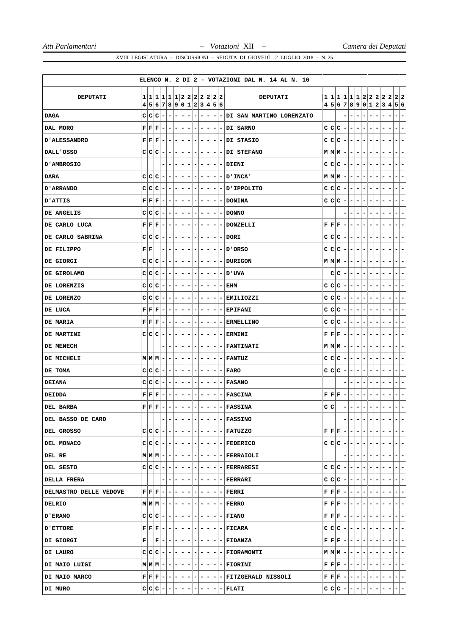|                          |                                              |                                                           |                          |                          |                          |                          |                              |                          |                          |                          |                          | ELENCO N. 2 DI 2 - VOTAZIONI DAL N. 14 AL N. 16 |     |                                                                                                                                                                           |                          |                          |                                                                                                                                                        |                                                      |                                                                                                                           |                              |                          |                                               |
|--------------------------|----------------------------------------------|-----------------------------------------------------------|--------------------------|--------------------------|--------------------------|--------------------------|------------------------------|--------------------------|--------------------------|--------------------------|--------------------------|-------------------------------------------------|-----|---------------------------------------------------------------------------------------------------------------------------------------------------------------------------|--------------------------|--------------------------|--------------------------------------------------------------------------------------------------------------------------------------------------------|------------------------------------------------------|---------------------------------------------------------------------------------------------------------------------------|------------------------------|--------------------------|-----------------------------------------------|
|                          |                                              |                                                           |                          |                          |                          |                          |                              |                          |                          |                          |                          |                                                 |     |                                                                                                                                                                           |                          |                          |                                                                                                                                                        |                                                      |                                                                                                                           |                              |                          |                                               |
| DEPUTATI                 | 4                                            | 1 1 1 1 1 1 2 2 2 2 2 2 2 <br> 5 6 7 8 9 0 1 2 3 4 5 6    |                          |                          |                          |                          |                              |                          |                          |                          |                          | <b>DEPUTATI</b>                                 |     |                                                                                                                                                                           |                          |                          |                                                                                                                                                        |                                                      |                                                                                                                           |                              |                          | 1111111122222222<br>4 5 6 7 8 9 0 1 2 3 4 5 6 |
| <b>DAGA</b>              |                                              | $C C C$ -                                                 | $\overline{\phantom{a}}$ | $\overline{\phantom{a}}$ | $\overline{\phantom{a}}$ | $\blacksquare$           | $\overline{\phantom{a}}$     | $\overline{\phantom{a}}$ | ۰                        | ۰                        |                          | - DI SAN MARTINO LORENZATO                      |     |                                                                                                                                                                           |                          | $\overline{\phantom{a}}$ | -                                                                                                                                                      | $\overline{\phantom{a}}$<br>$\overline{\phantom{a}}$ |                                                                                                                           |                              |                          | $\overline{\phantom{a}}$<br>-                 |
| DAL MORO                 |                                              | $\mathbf{F} \mid \mathbf{F} \mid \mathbf{F} \mid -$       | $\overline{\phantom{a}}$ | -                        | ۰                        | $\overline{\phantom{a}}$ |                              | -                        | ۰                        | ۰                        |                          | -IDI SARNO                                      |     | $C C C$ -                                                                                                                                                                 |                          | ۰                        | ۰                                                                                                                                                      | ۰                                                    |                                                                                                                           |                              |                          | -                                             |
| <b>D'ALESSANDRO</b>      |                                              | $\mathbf{F} \mid \mathbf{F} \mid \mathbf{F} \mid -$       | $\overline{a}$           | $\overline{\phantom{a}}$ | $\blacksquare$           | $\overline{\phantom{a}}$ | $\qquad \qquad \blacksquare$ | Ξ.                       | ۰                        |                          |                          | $- - DI$ STASIO                                 |     | $C C C - -$                                                                                                                                                               |                          |                          | $\overline{\phantom{a}}$                                                                                                                               | $\blacksquare$<br>$\overline{\phantom{0}}$           |                                                                                                                           |                              |                          | Ξ.<br>-                                       |
| DALL'OSSO                |                                              | $C C C$ -                                                 | $\overline{\phantom{a}}$ | ۰                        | ۰                        | $\overline{\phantom{0}}$ | $\overline{\phantom{a}}$     | ٠                        | ۰                        | - 1                      |                          | - DI STEFANO                                    |     | $M M M $ -   -                                                                                                                                                            |                          |                          | ۰                                                                                                                                                      | ۰<br>۰                                               | ۰                                                                                                                         | -                            |                          | -<br>۰                                        |
| D'AMBROSIO               |                                              |                                                           | $\overline{\phantom{a}}$ |                          | ۰                        | $\overline{\phantom{a}}$ | -                            | -                        | ۰                        | -                        |                          | - DIENI                                         |     | $ c c c $ -                                                                                                                                                               |                          | $\blacksquare$           | ۰                                                                                                                                                      | ۰<br>$\overline{\phantom{a}}$                        |                                                                                                                           |                              |                          | Ξ.<br>-                                       |
| <b>DARA</b>              |                                              | $C C C$ -                                                 | $\overline{\phantom{a}}$ | -                        | ۰                        | $\overline{\phantom{a}}$ | $\overline{\phantom{a}}$     | $\overline{\phantom{a}}$ | ۰                        | -                        |                          | - INCA'                                         |     | $M M M  -  $                                                                                                                                                              |                          | $\overline{\phantom{a}}$ | ۰                                                                                                                                                      | $\overline{\phantom{a}}$                             |                                                                                                                           |                              |                          | Ξ.<br>۰                                       |
| <b>D'ARRANDO</b>         | c c                                          | c<br>۰                                                    | $\overline{\phantom{a}}$ | -                        | ۰                        | ٠                        | ۰                            | ۰                        | ۰                        | -                        |                          | - IPPOLITO                                      |     | C C C                                                                                                                                                                     | $\overline{\phantom{0}}$ | $\overline{\phantom{a}}$ | ٠                                                                                                                                                      | ۰<br>-                                               |                                                                                                                           |                              |                          | ۳                                             |
| <b>D'ATTIS</b>           |                                              | $\mathbf{F} \,   \, \mathbf{F} \,   \, \mathbf{F} \,   =$ | ۰.                       | -                        | ۰                        | ۰.                       | ۰                            | ۰                        | -                        | ۰                        |                          | - DONINA                                        |     | $ c c c $ -                                                                                                                                                               |                          | $\overline{\phantom{a}}$ | ٠                                                                                                                                                      | ۰.<br>۰                                              |                                                                                                                           | -                            |                          | ۰<br>-                                        |
| DE ANGELIS               |                                              | $C C C$ -                                                 | $\blacksquare$           | -                        | ۰                        | $\overline{\phantom{a}}$ | -                            |                          | -                        | -                        |                          | - DONNO                                         |     |                                                                                                                                                                           |                          | -                        | $\overline{\phantom{a}}$                                                                                                                               | -                                                    |                                                                                                                           |                              |                          | Ξ.<br>-                                       |
| DE CARLO LUCA            |                                              | ${\bf F} \,   \, {\bf F} \,   \, {\bf F} \,   = 1$        | $\overline{\phantom{a}}$ | ۰                        | ۰                        | $\overline{\phantom{a}}$ | $\overline{\phantom{a}}$     | -                        | ۰                        | ۰                        |                          | - DONZELLI                                      |     | $\mathbf{F} \left  \mathbf{F} \right  \mathbf{F} \left  - \right $                                                                                                        |                          | $\blacksquare$           | ٠                                                                                                                                                      | ۰.<br>$\overline{\phantom{a}}$                       | ۰                                                                                                                         | -                            |                          | $\overline{\phantom{a}}$<br>-                 |
| DE CARLO SABRINA         |                                              | $C C C$ -                                                 | -                        | ۰                        | ۰                        | ۰                        | ۰                            | -                        | -                        | ۰                        |                          | - DORI                                          |     | $C C C -1$                                                                                                                                                                |                          | $\overline{\phantom{a}}$ | ۰                                                                                                                                                      | ۰<br>۰                                               |                                                                                                                           |                              |                          | -                                             |
| DE FILIPPO               | ${\bf F} \,   \, {\bf F}$                    |                                                           |                          |                          |                          |                          |                              |                          | ۰                        |                          |                          | - ORSO ס                                        |     | $C C C$ -                                                                                                                                                                 |                          | $\overline{\phantom{0}}$ |                                                                                                                                                        |                                                      |                                                                                                                           |                              |                          | -                                             |
| DE GIORGI                |                                              | $c c c $ -                                                | $\overline{\phantom{a}}$ | -                        | ۰                        | ٠                        | $\overline{\phantom{a}}$     | $\overline{\phantom{a}}$ | ۰                        | ۰                        |                          | - DURIGON                                       |     | $M$ $M$ $M$ $  -$                                                                                                                                                         |                          |                          |                                                                                                                                                        | $\overline{\phantom{a}}$<br>$\overline{\phantom{a}}$ | ۰                                                                                                                         | -                            |                          | Ξ.<br>۰                                       |
| DE GIROLAMO              |                                              | $C C C$ -                                                 | $\overline{\phantom{a}}$ | ۰                        | ۰                        | ٠                        | $\overline{\phantom{a}}$     | ۰                        | ۰                        | ۰                        |                          | – UVA טע                                        |     | $C C -1$                                                                                                                                                                  |                          | $\overline{\phantom{a}}$ | ۰                                                                                                                                                      | ۰.<br>۰                                              | ۰                                                                                                                         | -                            | -                        | ۰<br>۰                                        |
| DE LORENZIS              |                                              | $C C C$ -                                                 | ۰                        | ۳                        |                          | ۰                        |                              |                          |                          |                          |                          | EHM                                             |     | $C C C$ -                                                                                                                                                                 |                          | -                        | -<br>-                                                                                                                                                 |                                                      |                                                                                                                           |                              |                          |                                               |
| DE LORENZO               |                                              | $C C C$ -                                                 | $\blacksquare$           | ۰                        | ۰                        | ٠                        | $\overline{\phantom{a}}$     | ۰                        | ۰                        | -                        | $\sim$                   | <b>EMILIOZZI</b>                                |     | $C C C - - $                                                                                                                                                              |                          |                          |                                                                                                                                                        | $\blacksquare$<br>$\overline{\phantom{a}}$           | ۰                                                                                                                         | ۰                            |                          | -<br>۰                                        |
| DE LUCA                  |                                              | $\mathbf{F} \,   \, \mathbf{F} \,   \, \mathbf{F} \,   =$ | $\overline{\phantom{a}}$ | ۰                        | ۰                        | -                        | -                            | ۰                        | ۰                        | -                        | - 1                      | <b>EPIFANI</b>                                  |     | $C C C -1$                                                                                                                                                                |                          | $\overline{\phantom{a}}$ | ۰                                                                                                                                                      | -<br>-                                               | -                                                                                                                         | ۰                            | -                        | ۰<br>۳                                        |
| <b>DE MARIA</b>          |                                              | $\mathbf{F} \mid \mathbf{F} \mid \mathbf{F} \mid -$       | $\overline{\phantom{a}}$ | ۰                        | ۰                        | ۰                        |                              |                          | -                        | -                        | $\overline{\phantom{a}}$ | <b>ERMELLINO</b>                                |     | $C C C$ -                                                                                                                                                                 |                          | -                        | ۰                                                                                                                                                      | ۰                                                    |                                                                                                                           |                              |                          | -                                             |
| <b>DE MARTINI</b>        |                                              | $C C C$ -                                                 | $\overline{\phantom{a}}$ | ۰                        | ۰                        | ۰                        | -                            | Ξ.                       | ۰                        | ۰                        |                          | - ERMINI                                        |     | $\mathbf{F} \mid \mathbf{F} \mid \mathbf{F} \mid - \mid - \mid - \mid$                                                                                                    |                          |                          |                                                                                                                                                        | ۰.<br>۰                                              |                                                                                                                           |                              |                          | ۰<br>-                                        |
| DE MENECH                |                                              |                                                           | $\overline{\phantom{a}}$ | -                        |                          | $\overline{\phantom{a}}$ | -                            |                          | -                        | -                        |                          | - FANTINATI                                     |     | $M M M $ – $ $                                                                                                                                                            |                          | $\overline{\phantom{a}}$ | ۰                                                                                                                                                      | ۰<br>۰                                               |                                                                                                                           | -                            |                          | ۰<br>-                                        |
| DE MICHELI               |                                              | $M M M $ –                                                | -                        | -                        |                          | ۰                        | -                            | ۰                        | -                        | ۰                        |                          | - FANTUZ                                        |     | c c c                                                                                                                                                                     | $\overline{a}$           | -                        | ۰                                                                                                                                                      | ۰                                                    |                                                                                                                           |                              |                          | Ξ.<br>۰                                       |
| DE TOMA                  |                                              | $C C C$ -                                                 | $\sim$                   | ۰                        | ۰                        | $\overline{\phantom{a}}$ | $\overline{\phantom{a}}$     | Ξ.                       | -                        |                          |                          | – I FARO                                        |     | $C C C -1$                                                                                                                                                                |                          | $\overline{\phantom{a}}$ | ۰                                                                                                                                                      | $\overline{\phantom{a}}$<br>$\overline{\phantom{a}}$ |                                                                                                                           |                              |                          | $\overline{\phantom{a}}$<br>۰                 |
| <b>DEIANA</b>            | C C                                          | c<br>۰                                                    | $\blacksquare$           | ۰                        | ۰                        | $\overline{\phantom{a}}$ | $\overline{\phantom{a}}$     | ۰                        | -                        | -                        |                          | - FASANO                                        |     |                                                                                                                                                                           | -                        | -                        | -                                                                                                                                                      | $\overline{\phantom{a}}$<br>-                        |                                                                                                                           |                              |                          | -                                             |
| <b>DEIDDA</b>            | ${\bf F} \,   \, {\bf F} \,   \, {\bf F} \,$ | ۰                                                         | ٠                        | ۰                        | -                        | ۰                        | -                            | ۰                        | -                        | ۰                        |                          | - FASCINA                                       |     | ${\bf F} \,   \, {\bf F} \,   \, {\bf F}$                                                                                                                                 | $\overline{\phantom{a}}$ | ۰                        | -                                                                                                                                                      | -<br>-                                               |                                                                                                                           |                              |                          | Ξ.<br>۰                                       |
| <b>DEL BARBA</b>         |                                              | $\mathbf{F} \mid \mathbf{F} \mid \mathbf{F} \mid -1$      |                          | $-1-1$                   | н.                       | $\overline{a}$           | $\qquad \qquad -$            | н.                       | $\overline{\phantom{a}}$ | -                        |                          | $-$ FASSINA                                     | c c |                                                                                                                                                                           | $\overline{a}$           | $\overline{\phantom{a}}$ | $\overline{\phantom{a}}$                                                                                                                               | $\overline{\phantom{a}}$<br>$\overline{a}$           | Ξ.                                                                                                                        | $\qquad \qquad \blacksquare$ | -                        | $\sim$<br>$\overline{\phantom{a}}$            |
| <b>DEL BASSO DE CARO</b> |                                              |                                                           | $\blacksquare$           | $-1$                     | Ξ.                       | $\overline{\phantom{0}}$ | $\blacksquare$               | $\overline{a}$           | $-1$                     | $\overline{\phantom{a}}$ |                          | <b>- FASSINO</b>                                |     |                                                                                                                                                                           |                          | $\sim$                   |                                                                                                                                                        | $\overline{\phantom{a}}$                             |                                                                                                                           |                              |                          | -                                             |
| DEL GROSSO               |                                              | $c c c - - - - $                                          |                          |                          |                          | $-1$                     |                              | $- - $                   |                          |                          |                          | $- - $ FATUZZO                                  |     | $\mathbf{F}\left[\left. \mathbf{F}\left[ \left. \mathbf{F}\right\vert \right. -\left. \left. \right\vert -\left. \right\vert \right. -\left. \right\vert \right. \right.$ |                          |                          |                                                                                                                                                        | $-1-$                                                | н.                                                                                                                        | Ξ.                           |                          | $- -$                                         |
| DEL MONACO               |                                              | $C C C - - - - $                                          |                          |                          |                          | $\overline{a}$           |                              | $- - $                   |                          |                          |                          | $- - $ - FEDERICO                               |     | $C C C - - - $                                                                                                                                                            |                          |                          |                                                                                                                                                        | $\overline{a}$<br>$\blacksquare$                     |                                                                                                                           | $\overline{\phantom{a}}$     |                          | $- -$                                         |
| DEL RE                   |                                              | $M M M  -   -   -  - $                                    |                          |                          |                          |                          | $-1-1-1$                     |                          |                          |                          |                          | $- - $ -   FERRAIOLI                            |     |                                                                                                                                                                           |                          | $- - -$                  |                                                                                                                                                        | $-1-$                                                | $\overline{\phantom{a}}$                                                                                                  | -                            | $\overline{\phantom{a}}$ | $- -$                                         |
| DEL SESTO                |                                              | $C C C - - - - $                                          |                          |                          |                          | $\overline{a}$           | н,                           | $ - $                    |                          |                          |                          | $- - $ FERRARESI                                |     |                                                                                                                                                                           |                          |                          | $C C C - - - - -$                                                                                                                                      |                                                      | ÷.                                                                                                                        | $-1$                         | ٠                        | $-1-$                                         |
| DELLA FRERA              |                                              |                                                           |                          |                          |                          | - 1                      | н.                           |                          |                          |                          |                          | $- - $ FERRARI                                  |     | $ {\bf C} {\bf C} {\bf C} $ – $ - $                                                                                                                                       |                          |                          |                                                                                                                                                        | $\overline{\phantom{0}}$<br>٠                        |                                                                                                                           | ۰.                           |                          | $ -$                                          |
| DELMASTRO DELLE VEDOVE   |                                              |                                                           |                          |                          |                          |                          |                              |                          |                          |                          |                          | F F F - - - - - - - - - FERRI                   |     |                                                                                                                                                                           |                          |                          |                                                                                                                                                        |                                                      | ${\bf F} \,   \, {\bf F} \,   \, {\bf F} \,   -   -   -   -   -   -  $                                                    |                              | $-1-$                    | $ -$                                          |
| DELRIO                   |                                              | $M M M - - - - - - - - $                                  |                          |                          |                          |                          |                              |                          |                          |                          |                          | $-$ FERRO                                       |     |                                                                                                                                                                           |                          |                          | ${\bf F}  {\bf F}   {\bf F}   -   -   -   -   -  $                                                                                                     |                                                      | ٠                                                                                                                         | - 1                          | ٠                        | $-1-$                                         |
| <b>D'ERAMO</b>           |                                              | $C C C - - - - $                                          |                          |                          |                          | $\overline{\phantom{0}}$ |                              | $    -$                  |                          |                          |                          | $  $ FIANO                                      |     |                                                                                                                                                                           |                          |                          | $\mathbf{F}\left[\left. \mathbf{F}\left[\left. \mathbf{F}\right  - \left. \right  - \left. \right  - \left. \right  - \left. \right  - \right.\right]$ |                                                      | ÷.                                                                                                                        | ÷.                           |                          | $=$ $=$                                       |
| <b>D'ETTORE</b>          |                                              |                                                           |                          |                          |                          |                          |                              |                          |                          |                          |                          |                                                 |     |                                                                                                                                                                           |                          |                          |                                                                                                                                                        |                                                      | $C C C - - - - - $                                                                                                        |                              | $-1-$                    | $-1-$                                         |
| DI GIORGI                | F                                            | $ {\bf F} - - - - $                                       |                          |                          |                          |                          | $- - - $                     |                          |                          | $- - $                   |                          | - FIDANZA                                       |     | $\mathbf{F} \left  \mathbf{F} \right  \mathbf{F} \left  - \right  - \left  - \right $                                                                                     |                          |                          |                                                                                                                                                        | $-1-$                                                | $\overline{\phantom{a}}$                                                                                                  | - 1                          | ٠                        | $=$ $=$                                       |
| DI LAURO                 |                                              |                                                           |                          |                          |                          |                          |                              |                          |                          |                          |                          | $C C C - - - - - - - - FIORAMONTI$              |     |                                                                                                                                                                           |                          |                          | $M M M  -   -   -   -   -$                                                                                                                             |                                                      | l – I                                                                                                                     | $-1$                         |                          | $-1-$                                         |
| DI MAIO LUIGI            |                                              |                                                           |                          |                          |                          |                          |                              |                          |                          |                          |                          | M M M - - - - - - - - - FIORINI                 |     |                                                                                                                                                                           |                          |                          |                                                                                                                                                        |                                                      | ${\bf F} \,   \, {\bf F} \,   \, {\bf F} \,   -   -   -   -   -   -   -   -  $                                            |                              |                          | $=$ $-$                                       |
| DI MAIO MARCO            |                                              |                                                           |                          |                          |                          |                          |                              |                          |                          |                          |                          |                                                 |     |                                                                                                                                                                           |                          |                          |                                                                                                                                                        |                                                      | $\mathbf{F} \left[ \mathbf{F} \left  \mathbf{F} \right  - \left  - \left  - \left  - \right  - \right  - \right] \right]$ | $ - -$                       |                          | $ - -$                                        |
| DI MURO                  |                                              | $C C C - -$                                               |                          |                          | $ - $                    | $\overline{\phantom{a}}$ | Ξ.                           |                          |                          |                          |                          | $ FLATI$                                        |     | $C C C - - - $                                                                                                                                                            |                          |                          |                                                                                                                                                        | $\vert - \vert -$                                    | $ - $                                                                                                                     | Ξ.                           |                          |                                               |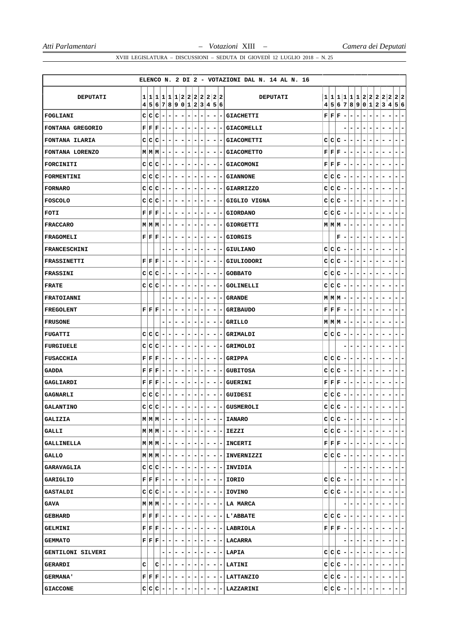|                     |                                                |    |                                                                               |                          |                          |                          |                              |                              |                          |                              |                              |                |                          | ELENCO N. 2 DI 2 - VOTAZIONI DAL N. 14 AL N. 16 |               |       |                                                                    |                          |                              |                              |                          |                          |                              |                               |                          |                           |
|---------------------|------------------------------------------------|----|-------------------------------------------------------------------------------|--------------------------|--------------------------|--------------------------|------------------------------|------------------------------|--------------------------|------------------------------|------------------------------|----------------|--------------------------|-------------------------------------------------|---------------|-------|--------------------------------------------------------------------|--------------------------|------------------------------|------------------------------|--------------------------|--------------------------|------------------------------|-------------------------------|--------------------------|---------------------------|
|                     |                                                |    |                                                                               |                          |                          |                          |                              |                              |                          |                              |                              |                |                          |                                                 |               |       |                                                                    |                          |                              |                              |                          |                          |                              |                               |                          |                           |
| DEPUTATI            |                                                |    | 1 1 1 1 1 1 2 2 2 2 2 2 2 2 <br>4 5 6 7 8 9 0 1 2 3 4 5 6                     |                          |                          |                          |                              |                              |                          |                              |                              |                |                          | <b>DEPUTATI</b>                                 | $\frac{4}{ }$ |       | 5 6 7 8 9 0 1 2 3 4 5 6                                            |                          |                              |                              |                          |                          |                              |                               |                          | 1 1 1 1 1 1 2 2 2 2 2 2 2 |
| FOGLIANI            | C C                                            |    | $ c -$                                                                        |                          | $\overline{\phantom{a}}$ | ۰                        | ۰                            | $\overline{\phantom{a}}$     | ۰                        | ۰                            | $\overline{\phantom{a}}$     | -              | ۰                        | <b>GIACHETTI</b>                                | F             |       | F F                                                                | ۰                        | -                            | $\qquad \qquad \blacksquare$ | ۰                        | -                        | ۰                            |                               | ۰                        | $\overline{a}$            |
| FONTANA GREGORIO    |                                                |    | $\mathbf{F} \left  \mathbf{F} \right  \mathbf{F} \left  - \right.$            |                          | $\overline{\phantom{a}}$ | ۰                        | ۰                            | $\overline{\phantom{a}}$     |                          |                              |                              | -              |                          | <b>GIACOMELLI</b>                               |               |       |                                                                    |                          | $\qquad \qquad \blacksquare$ |                              | -                        | -                        |                              |                               |                          | $\overline{a}$            |
| FONTANA ILARIA      | $\mathbf{C}$                                   | c  | $ C -$                                                                        |                          | $\blacksquare$           | $\blacksquare$           | $\overline{\phantom{a}}$     | $\overline{\phantom{a}}$     | -                        | ۰                            | ۰                            | $\blacksquare$ | $\vert - \vert$          | <b>GIACOMETTI</b>                               | c             |       | C C                                                                | $\overline{\phantom{a}}$ | ۰                            | $\overline{\phantom{0}}$     | $\overline{\phantom{a}}$ | ۰                        | ۰                            | -                             | ۰                        | ۰                         |
| FONTANA LORENZO     |                                                |    | $M$ $M$ $M$ $-$                                                               |                          | $\blacksquare$           | ۰                        | ۰                            | $\overline{\phantom{a}}$     | ۰                        | ۰                            | ۰                            | -              | -                        | <b>GIACOMETTO</b>                               | F             |       | FF                                                                 | $\overline{\phantom{a}}$ | -                            | ۰                            | -                        | ۰                        | -                            |                               | ۰                        | ۰                         |
| FORCINITI           |                                                |    | $C C C$ -                                                                     |                          | ٠                        | ۰.                       | ۰                            | $\overline{\phantom{a}}$     |                          |                              |                              |                |                          | <b>GIACOMONI</b>                                |               |       | ${\bf F} \,   \, {\bf F} \,   \, {\bf F} \,  $                     |                          | -                            | ۰                            | -                        | -                        |                              |                               |                          | $\overline{a}$            |
| FORMENTINI          | c                                              | c  | $ C -$                                                                        |                          | $\overline{\phantom{a}}$ | $\blacksquare$           | ۰                            | ۰                            | ۰                        | $\qquad \qquad \blacksquare$ | $\overline{\phantom{a}}$     | ۰              | $\overline{\phantom{a}}$ | <b>GIANNONE</b>                                 | c             |       | C C                                                                | $\overline{\phantom{a}}$ | -                            | $\qquad \qquad \blacksquare$ | $\blacksquare$           | $\overline{\phantom{0}}$ | ۰                            | ۰                             | ۰                        | ۰                         |
| <b>FORNARO</b>      | с                                              | c  | $C$ -                                                                         |                          | $\overline{\phantom{a}}$ | $\overline{\phantom{a}}$ | ۰                            | ۰                            | -                        | ۰                            | $\qquad \qquad \blacksquare$ | -              |                          | <b>GIARRIZZO</b>                                | c             |       | C C                                                                | $\overline{\phantom{a}}$ | -                            | ۰                            | ۰                        | ۰                        | -                            | -<br>-                        | -                        | $\overline{\phantom{0}}$  |
| <b>FOSCOLO</b>      | C                                              |    | $ C C -$                                                                      |                          | $\overline{\phantom{a}}$ | ۰                        | ۰                            | $\overline{\phantom{a}}$     |                          |                              | -                            | -              |                          | GIGLIO VIGNA                                    | с             |       | C C                                                                | $\overline{\phantom{a}}$ | ۰                            | $\qquad \qquad \blacksquare$ | $\overline{\phantom{a}}$ | -                        |                              |                               |                          | $\overline{a}$            |
| FOTI                | ${\bf F} \,   \, {\bf F}  $                    |    | $ {\bf F} -$                                                                  |                          | $\blacksquare$           | $\blacksquare$           | ۰                            | $\overline{\phantom{a}}$     | ۰                        | ۰                            | ۰                            | -              | $\overline{\phantom{a}}$ | <b>GIORDANO</b>                                 | с             |       | C C                                                                | $\overline{\phantom{a}}$ | ۰                            | $\overline{\phantom{a}}$     | $\overline{\phantom{a}}$ | $\overline{\phantom{a}}$ | ۰                            | -                             | ۰                        | $\overline{\phantom{a}}$  |
| <b>FRACCARO</b>     |                                                |    | $M M M $ –                                                                    |                          | -                        | ۰                        | $\overline{\phantom{a}}$     | $\overline{\phantom{a}}$     | -                        | -                            |                              | -              |                          | <b>GIORGETTI</b>                                |               |       | $M$ $M$ $M$                                                        |                          | ۰                            | ۰                            | -                        | -                        | -                            |                               | -                        | $\overline{a}$            |
| FRAGOMELI           | ${\bf F} \,   \, {\bf F} \,   \, {\bf F} \,  $ |    |                                                                               | $\blacksquare$           | $\overline{\phantom{a}}$ | ۰                        | ۰                            | ۰                            | -                        |                              | ۰                            | -              |                          | <b>GIORGIS</b>                                  |               |       | F                                                                  | ۰                        | -                            | ۰                            | ۰                        | ۰                        | ۰                            |                               | ۰                        | $\overline{a}$            |
| <b>FRANCESCHINI</b> |                                                |    |                                                                               |                          | -                        | -                        | $\overline{\phantom{a}}$     |                              | -                        | -                            | $\overline{\phantom{a}}$     | -              | $\overline{\phantom{a}}$ | <b>GIULIANO</b>                                 | с             |       | C C                                                                | $\overline{\phantom{a}}$ | -                            | $\qquad \qquad \blacksquare$ | $\overline{\phantom{a}}$ | -                        |                              |                               |                          | $\overline{\phantom{a}}$  |
| <b>FRASSINETTI</b>  | ${\bf F} \,   \, {\bf F} \,   \, {\bf F} \,  $ |    |                                                                               | $\overline{\phantom{a}}$ | ۰                        | -                        | ۰                            | ۰                            | -                        |                              | -                            | -              |                          | GIULIODORI                                      | c             |       | C C                                                                | ۰                        | ۰                            | ۰                            | -                        | ۰                        |                              |                               |                          | $\overline{a}$            |
| <b>FRASSINI</b>     |                                                |    | $C C C$ -                                                                     |                          | н.                       | - 1                      | ۰                            | ۰                            | -                        | ۰                            | ۰                            | ۰              | -                        | <b>GOBBATO</b>                                  | c             |       | C C                                                                | $\overline{\phantom{a}}$ | ۰.                           | ۰                            | ۰                        | -                        | ۰                            | -                             | ۰                        | ٠                         |
| <b>FRATE</b>        |                                                |    | $C C C$ -                                                                     |                          | $\blacksquare$           | ۰                        | $\qquad \qquad \blacksquare$ | -                            |                          |                              | $\overline{\phantom{a}}$     | -              |                          | <b>GOLINELLI</b>                                | c             |       | $ {\bf C} {\bf C} $                                                | $\overline{a}$           | $\overline{\phantom{0}}$     | $\overline{\phantom{0}}$     | $\overline{\phantom{a}}$ | -                        | -                            | -                             |                          | $\overline{a}$            |
| <b>FRATOIANNI</b>   |                                                |    |                                                                               |                          |                          | -                        | -                            | $\qquad \qquad \blacksquare$ | -                        |                              | $\overline{a}$               | -              |                          | <b>GRANDE</b>                                   |               |       | $M$ $M$ $M$                                                        | ۰                        | ۰                            | $\qquad \qquad \blacksquare$ | $\overline{\phantom{a}}$ | -                        |                              |                               |                          | $\overline{\phantom{0}}$  |
| <b>FREGOLENT</b>    | ${\bf F} \,   \, {\bf F} \,   \, {\bf F} \,  $ |    |                                                                               | $\blacksquare$           | ۰                        | ۰                        | ۰                            | ۰                            | -                        | ۰                            | -                            | -              |                          | <b>GRIBAUDO</b>                                 |               | F F F |                                                                    | ۰                        | ۰                            | ۰                            | ۰                        | -                        | ۰                            |                               |                          | -                         |
| <b>FRUSONE</b>      |                                                |    |                                                                               |                          | $\overline{\phantom{a}}$ | $\overline{\phantom{a}}$ | $\overline{\phantom{a}}$     | $\blacksquare$               |                          |                              |                              | -              |                          | GRILLO                                          |               |       | $M$ $M$ $M$                                                        |                          | -                            | -                            | -                        | -                        |                              |                               |                          | $\overline{a}$            |
| <b>FUGATTI</b>      | $\mathbf{C}$                                   |    | $ C C -$                                                                      |                          | $\blacksquare$           | ۰                        | $\overline{\phantom{a}}$     | -                            | -                        | -                            | -                            | -              |                          | GRIMALDI                                        | c             |       | c c                                                                | ۰                        | -                            | $\overline{\phantom{a}}$     | $\overline{\phantom{a}}$ | $\overline{\phantom{a}}$ | -                            | -                             | ۰                        | $\overline{a}$            |
| <b>FURGIUELE</b>    | C                                              | IС | $ C -$                                                                        |                          | $\overline{\phantom{a}}$ | ۰                        | ۰                            | $\overline{\phantom{a}}$     | -                        |                              | $\overline{\phantom{a}}$     | -              |                          | GRIMOLDI                                        |               |       |                                                                    |                          | ۰                            | ۰                            | ۰                        | ۰                        |                              |                               |                          | -                         |
| <b>FUSACCHIA</b>    |                                                |    | $\mathbf{F} \left  \mathbf{F} \right  \mathbf{F} \left  - \right.$            |                          | ۰                        | ۰                        | ۰                            |                              |                          |                              |                              |                |                          | <b>GRIPPA</b>                                   | с             |       | C C                                                                | $\overline{\phantom{a}}$ | -                            | -                            | -                        |                          |                              |                               |                          | $\overline{a}$            |
| <b>GADDA</b>        | ${\bf F} \,   \, {\bf F}  $                    |    | $ \mathbf{F} $                                                                | $\overline{\phantom{a}}$ | $\blacksquare$           | $\blacksquare$           | $\overline{\phantom{a}}$     | $\overline{\phantom{a}}$     | -                        | -                            | $\overline{\phantom{a}}$     | -              | $\overline{\phantom{a}}$ | <b>GUBITOSA</b>                                 | c             |       | C C                                                                | ۰                        | $\overline{\phantom{a}}$     | $\overline{\phantom{a}}$     | $\overline{\phantom{a}}$ | $\overline{a}$           | ۰                            | $\overline{a}$                | ۰                        | $\overline{\phantom{0}}$  |
| GAGLIARDI           | ${\bf F} \,   \, {\bf F}  $                    |    | $ \mathbf{F} $                                                                | $\overline{\phantom{a}}$ | ۰                        | ۰                        | ۰                            | $\overline{\phantom{a}}$     | -                        | ۰                            | $\overline{\phantom{a}}$     | ۰              | ۰                        | <b>GUERINI</b>                                  | F             |       | F F                                                                | $\overline{\phantom{a}}$ | ۰                            | $\overline{\phantom{a}}$     | $\overline{\phantom{a}}$ | -                        | ۰                            | -                             | ۰                        | ۰                         |
| <b>GAGNARLI</b>     | C                                              | c  | $ {\bf C} $                                                                   |                          |                          | -                        |                              |                              |                          |                              |                              | -              |                          | GUIDESI                                         | с             |       | C C                                                                |                          | -                            |                              |                          |                          |                              |                               |                          | $\overline{a}$            |
| <b>GALANTINO</b>    | $\mathbf C$                                    |    | $C C -$                                                                       |                          | $\blacksquare$           | $\overline{a}$           | $\overline{\phantom{a}}$     | $\overline{a}$               | -                        | $\overline{\phantom{0}}$     | $\overline{\phantom{a}}$     | -              |                          | - GUSMEROLI                                     | C             |       | c c                                                                | $\blacksquare$           | $\blacksquare$               | $\overline{\phantom{a}}$     | $\blacksquare$           | $\overline{\phantom{a}}$ | $\overline{\phantom{a}}$     | $\overline{\phantom{0}}$<br>- | $\overline{\phantom{0}}$ | $\blacksquare$            |
| <b>GALIZIA</b>      |                                                |    | $M$ $M$ $M$ $-$                                                               |                          | $-1-1-$                  |                          |                              | $\overline{\phantom{a}}$     | $\overline{\phantom{a}}$ |                              |                              | -              | -                        | <b>IANARO</b>                                   |               |       | $C C C$ -                                                          |                          | $\overline{\phantom{a}}$     | $\overline{\phantom{a}}$     | $\overline{\phantom{a}}$ | $\overline{\phantom{a}}$ |                              |                               |                          | $\overline{a}$            |
| <b>GALLI</b>        |                                                |    | $M M M  -  -  -  - $                                                          |                          |                          |                          |                              | $\overline{a}$               |                          | ۰                            | ۰                            |                | н.                       | IEZZI                                           |               |       | $C C C$ -                                                          |                          | $ -$                         |                              | $\blacksquare$           | -                        |                              |                               |                          | $\blacksquare$            |
| GALLINELLA          |                                                |    | $\mathbf{M} \mid \mathbf{M} \mid \mathbf{M} \mid - \mid - \mid - \mid - \mid$ |                          |                          |                          |                              | $\overline{a}$               | ۰                        | -                            | Ξ.                           | ٠              | $\overline{ }$           | <b>INCERTI</b>                                  |               |       | $\mathbf{F} \left  \mathbf{F} \right  \mathbf{F} \left  - \right $ |                          | $ -$                         |                              | $\overline{a}$           | ۰                        | $\overline{\phantom{a}}$     | $\overline{\phantom{a}}$      | -                        | $\overline{\phantom{a}}$  |
| GALLO               |                                                |    | $M M M  -  -  -  - $                                                          |                          |                          |                          |                              | $\overline{\phantom{a}}$     | ۰                        | ۰                            | Ξ.                           | ٠              | н.                       | INVERNIZZI                                      |               |       | c c c                                                              | $\overline{ }$           | -                            | $\overline{\phantom{a}}$     | $\blacksquare$           | ۰                        | $\overline{\phantom{a}}$     |                               | ۰                        | $\overline{\phantom{a}}$  |
| <b>GARAVAGLIA</b>   |                                                |    | $C C C - - - $                                                                |                          |                          |                          |                              | $\overline{\phantom{a}}$     | ۰                        | ۰                            | ۰                            | ۰              |                          | - INVIDIA                                       |               |       |                                                                    |                          |                              |                              | $\overline{\phantom{a}}$ | ۰                        |                              | -                             | ۰                        | $\overline{\phantom{a}}$  |
| GARIGLIO            |                                                |    | $\mathbf{F} \mid \mathbf{F} \mid \mathbf{F} \mid - \mid - \mid - \mid - \mid$ |                          |                          |                          |                              | $\overline{\phantom{a}}$     |                          | ۰                            | Ξ.                           | ۰              |                          | -IIORIO                                         |               |       | $C C C$ -                                                          |                          | - 1                          | $\overline{\phantom{a}}$     | $\overline{\phantom{a}}$ | ۰                        |                              |                               | ۰                        | $\overline{\phantom{a}}$  |
| <b>GASTALDI</b>     |                                                |    | $C C C - - - -$                                                               |                          |                          |                          |                              | $\overline{\phantom{a}}$     | ۰                        | ۰                            | Ξ.                           | ۰              | н.                       | <b>IOVINO</b>                                   | c             |       | c c                                                                | $\overline{ }$           | -                            | $\overline{\phantom{a}}$     | ۰.                       | ۰                        | ۰                            |                               |                          | $\blacksquare$            |
| GAVA                |                                                |    | $M$ $M$ $M$ $-$                                                               |                          |                          |                          | $- - - $                     | $\overline{\phantom{a}}$     | ۰                        | ۰                            | ۰                            | ۰              |                          | - LA MARCA                                      |               |       |                                                                    | -                        |                              |                              | Ξ.                       | ۰                        |                              | -                             | ۰                        | $\overline{\phantom{a}}$  |
| <b>GEBHARD</b>      |                                                |    | $\mathbf{F} \left  \mathbf{F} \left  \mathbf{F} \right  - \right $            |                          |                          |                          | $- - - $                     | $\overline{\phantom{a}}$     |                          | ۰                            | $\overline{\phantom{a}}$     | ۰              |                          | <b>-IL'ABBATE</b>                               |               |       | $C C C$ -                                                          |                          | $\blacksquare$               | $\overline{\phantom{a}}$     | $\blacksquare$           | ۰                        | $\qquad \qquad \blacksquare$ | ۰                             | ۰                        | $\overline{\phantom{a}}$  |
| <b>GELMINI</b>      |                                                |    | ${\bf F} \,   \, {\bf F} \,   \, {\bf F} \,   -  $                            |                          | $-1-1-$                  |                          |                              | $\overline{\phantom{a}}$     | ۰                        | ۰                            | $\overline{\phantom{a}}$     | ۰              |                          | - LABRIOLA                                      |               |       | ${\bf F} \left[ {\bf F} \right] {\bf F}$                           | $\overline{a}$           | ۰                            | $\overline{\phantom{a}}$     | $\overline{\phantom{a}}$ | ۰                        |                              |                               | ۰                        | $\overline{\phantom{a}}$  |
| <b>GEMMATO</b>      |                                                |    | $\mathbf{F} \mid \mathbf{F} \mid \mathbf{F} \mid -1$                          |                          | $- - -$                  |                          |                              | $\overline{\phantom{a}}$     | -                        | ۰                            | -                            | -              |                          | -   LACARRA                                     |               |       |                                                                    |                          | ۰                            | ۰                            | ۰                        | ۰                        | ۰                            |                               | ۰                        | $\overline{\phantom{a}}$  |
| GENTILONI SILVERI   |                                                |    |                                                                               |                          |                          | $\blacksquare$           | $\blacksquare$               |                              |                          |                              |                              | ۰              |                          | - LAPIA                                         |               |       | $C C C$ -                                                          |                          | -                            | $\overline{\phantom{a}}$     | $\overline{\phantom{a}}$ | ۰                        |                              |                               |                          | $\overline{\phantom{a}}$  |
| <b>GERARDI</b>      | c                                              |    | c                                                                             | $\overline{\phantom{a}}$ | $\overline{\phantom{a}}$ | $-1-$                    |                              | $\overline{\phantom{a}}$     | ۰                        | ۰                            | $\overline{\phantom{a}}$     | -              | $\sim$                   | LATINI                                          | c             |       | $ C C $ –                                                          |                          | - 1                          | $\overline{\phantom{a}}$     | ۰.                       | ٠                        | $\overline{\phantom{a}}$     | -                             | ۰                        | $\overline{\phantom{a}}$  |
| <b>GERMANA'</b>     |                                                |    | $\mathbf{F} \,   \, \mathbf{F} \,   \, \mathbf{F} \,   -  $                   |                          |                          |                          | -----                        |                              | ۰                        | ۰                            | $\overline{\phantom{0}}$     | ۰              |                          | <b>- LATTANZIO</b>                              |               |       | $C C C - - - - $                                                   |                          |                              |                              |                          |                          | ۰                            | $\overline{\phantom{a}}$<br>٠ | $\blacksquare$           | $\overline{\phantom{a}}$  |
| <b>GIACCONE</b>     |                                                |    | $C C C$ -                                                                     |                          | $- - $                   |                          | $(-)$                        |                              |                          |                              |                              |                |                          | LAZZARINI                                       |               |       | $C C C$ -                                                          |                          | ۳                            |                              | -                        | ۳                        |                              |                               |                          | $\overline{a}$            |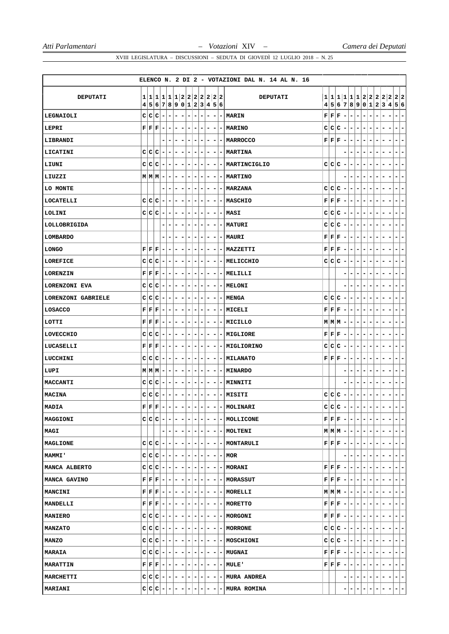|                    |              |   |                                                            |                          |                              |                          |                          |                              |                              |                |                          |                          |   | ELENCO N. 2 DI 2 - VOTAZIONI DAL N. 14 AL N. 16                                               |   |                               |                                                                                              |                          |                          |                                                                                                                                                                         |                                                          |                          |                          |                          |                                                      |
|--------------------|--------------|---|------------------------------------------------------------|--------------------------|------------------------------|--------------------------|--------------------------|------------------------------|------------------------------|----------------|--------------------------|--------------------------|---|-----------------------------------------------------------------------------------------------|---|-------------------------------|----------------------------------------------------------------------------------------------|--------------------------|--------------------------|-------------------------------------------------------------------------------------------------------------------------------------------------------------------------|----------------------------------------------------------|--------------------------|--------------------------|--------------------------|------------------------------------------------------|
| DEPUTATI           |              |   | 1 1 1 1 1 1 2 2 2 2 2 2 2                                  |                          |                              |                          |                          |                              |                              |                |                          |                          |   | <b>DEPUTATI</b>                                                                               |   |                               |                                                                                              |                          |                          |                                                                                                                                                                         |                                                          |                          |                          |                          | 1 1 1 1 1 1 2 2 2 2 2 2 2                            |
|                    | 4            |   | 5 6 7 8 9 0 1 2 3 4 5 6                                    |                          |                              |                          |                          |                              |                              |                |                          |                          |   |                                                                                               |   |                               |                                                                                              |                          |                          | 4 5 6 7 8 9 0 1 2 3 4                                                                                                                                                   |                                                          |                          |                          |                          | 5 6                                                  |
| LEGNAIOLI          | c            | c | $ c $ –                                                    | $\blacksquare$           | ۰                            | $\overline{\phantom{a}}$ | $\overline{\phantom{a}}$ | $\overline{\phantom{0}}$     | $\overline{\phantom{0}}$     |                | $\overline{\phantom{0}}$ | ۰                        | ۰ | <b>MARIN</b>                                                                                  |   | $\mathbf{F} \mathbf{F}$       | F                                                                                            | $\overline{\phantom{a}}$ | -                        | $\overline{\phantom{0}}$                                                                                                                                                | $\overline{\phantom{a}}$<br>-                            |                          |                          |                          | -<br>$\overline{\phantom{a}}$                        |
| LEPRI              |              |   | ${\bf F} \,   \, {\bf F} \,   \, {\bf F} \,   =$           | $\blacksquare$           | ۰                            | ۰                        | $\overline{a}$           | ٠                            | ۰                            |                | Ξ.                       | ۰                        |   | - MARINO                                                                                      |   |                               | c c c                                                                                        | $\blacksquare$           | -                        | ۰                                                                                                                                                                       | ۰<br>-                                                   |                          | -                        |                          | $\blacksquare$<br>-                                  |
| LIBRANDI           |              |   |                                                            | $\overline{\phantom{a}}$ | ۰                            | $\overline{\phantom{a}}$ | $\overline{\phantom{a}}$ | ۰                            | ۰                            |                | $\blacksquare$           | $\overline{\phantom{a}}$ |   | - MARROCCO                                                                                    |   |                               | ${\bf F} \,   \, {\bf F} \,   \, {\bf F}$                                                    | $\overline{\phantom{a}}$ | -                        | ۰<br>$\overline{\phantom{a}}$                                                                                                                                           |                                                          |                          |                          |                          | -<br>$\overline{\phantom{a}}$                        |
| LICATINI           | C            |   | $C C -$                                                    | ٠                        | ۰                            | ۰                        | ۰                        | -                            | ۰                            |                | -                        | ۰                        |   | - MARTINA                                                                                     |   |                               |                                                                                              |                          | -                        | ۰                                                                                                                                                                       | -                                                        |                          |                          |                          | ۰<br>۳                                               |
| LIUNI              |              |   | C C C                                                      |                          | $- - -$                      |                          | $\overline{\phantom{a}}$ | $\overline{\phantom{a}}$     | $\overline{\phantom{a}}$     |                | ۰.                       | -                        |   | -   MARTINCIGLIO                                                                              |   |                               | C C C                                                                                        | $\overline{\phantom{a}}$ | -                        | ۰                                                                                                                                                                       | -<br>-                                                   |                          |                          |                          | ۰.<br>۰                                              |
| LIUZZI             |              |   | $M$ $M$ $M$ $-$                                            | $\blacksquare$           | $\overline{\phantom{a}}$     | $\overline{\phantom{a}}$ | $\overline{\phantom{a}}$ | $\overline{a}$               | ۰                            | -              |                          | $\overline{a}$           |   | - MARTINO                                                                                     |   |                               |                                                                                              |                          |                          | $\overline{\phantom{a}}$                                                                                                                                                | -                                                        |                          | -                        |                          | $\overline{\phantom{a}}$<br>۰                        |
| LO MONTE           |              |   |                                                            | $\overline{\phantom{a}}$ | ۰                            | $\overline{\phantom{a}}$ | $\overline{\phantom{a}}$ | $\overline{\phantom{a}}$     | ۰                            | -              |                          | $\overline{\phantom{a}}$ | - | <b>MARZANA</b>                                                                                |   |                               | C C C                                                                                        | $\overline{\phantom{a}}$ | ۰                        | ۰                                                                                                                                                                       | $\overline{\phantom{a}}$<br>$\overline{\phantom{a}}$     | ۰                        | -                        | -                        | $\blacksquare$<br>-                                  |
| LOCATELLI          |              |   | $C C C$ –                                                  | $\blacksquare$           | ٠                            | ٠                        | $\overline{\phantom{a}}$ | -                            | ۰                            | ۰              |                          | $\overline{\phantom{a}}$ |   | <b>- MASCHIO</b>                                                                              |   |                               | $\mathbf{F} \mathbf{F} \mathbf{F}$                                                           | $\overline{\phantom{a}}$ | -                        | ۰                                                                                                                                                                       | ۰<br>۰                                                   | ۰                        | ۰                        |                          | ٠<br>۰                                               |
| LOLINI             |              |   | C C C                                                      | $\blacksquare$           | $\qquad \qquad \blacksquare$ | $\overline{\phantom{a}}$ | $\overline{\phantom{a}}$ | -                            | -                            | -              |                          | ۰                        |   | - MASI                                                                                        |   |                               | c c c                                                                                        | $\overline{\phantom{a}}$ | -                        | -<br>$\overline{\phantom{a}}$                                                                                                                                           | -                                                        |                          |                          |                          | -<br>$\overline{\phantom{a}}$                        |
| LOLLOBRIGIDA       |              |   |                                                            | $\overline{\phantom{a}}$ | ۰                            | $\overline{\phantom{a}}$ | $\overline{\phantom{a}}$ | ۰                            | $\qquad \qquad \blacksquare$ | -              |                          | -                        | ٠ | <b>MATURI</b>                                                                                 | C |                               | c c                                                                                          | $\overline{\phantom{a}}$ | ۰                        | ۰<br>$\overline{\phantom{a}}$                                                                                                                                           | -                                                        | ۰                        | -                        | -                        | -<br>$\overline{\phantom{a}}$                        |
| <b>LOMBARDO</b>    |              |   |                                                            | $\overline{\phantom{a}}$ | ۰                            | $\overline{\phantom{a}}$ | $\overline{\phantom{a}}$ | $\overline{\phantom{a}}$     | ۰                            | ۰              |                          | $\overline{\phantom{a}}$ |   | - MAURI                                                                                       |   |                               | $\mathbf{F} \mathbf{F} \mathbf{F}$                                                           | $\overline{\phantom{a}}$ | -                        | ۰<br>$\overline{\phantom{a}}$                                                                                                                                           | $\overline{\phantom{a}}$                                 |                          | -                        |                          | $\overline{\phantom{a}}$<br>۰                        |
| <b>LONGO</b>       |              |   | $\mathbf{F} \mid \mathbf{F} \mid \mathbf{F} \mid -$        | $\blacksquare$           | $\overline{\phantom{0}}$     | $\overline{\phantom{a}}$ | $\overline{\phantom{a}}$ | -                            | ۰                            | -              |                          | ۰                        |   | - MAZZETTI                                                                                    |   |                               | ${\bf F} \,   \, {\bf F} \,   \, {\bf F} \,  $                                               | $\overline{\phantom{a}}$ | -                        | ۰<br>-                                                                                                                                                                  |                                                          |                          |                          |                          | -<br>$\overline{\phantom{a}}$                        |
| LOREFICE           |              |   | $C C C$ -                                                  |                          | $-1-1-$                      |                          | $\overline{a}$           | $\overline{\phantom{a}}$     | $\overline{\phantom{a}}$     |                | $\overline{\phantom{a}}$ | $\overline{\phantom{a}}$ |   | - MELICCHIO                                                                                   |   |                               | c c c                                                                                        | $\overline{\phantom{a}}$ | -                        | $\overline{\phantom{a}}$                                                                                                                                                | $\qquad \qquad \blacksquare$<br>$\overline{\phantom{a}}$ | ۰                        | -                        |                          | -<br>$\blacksquare$                                  |
| LORENZIN           |              |   | $\mathbf{F} \mid \mathbf{F} \mid \mathbf{F} \mid -$        |                          | $ -$                         | $\blacksquare$           | $\overline{a}$           | $\overline{\phantom{a}}$     | ۰                            | ۰              |                          | $\overline{\phantom{a}}$ |   | - MELILLI                                                                                     |   |                               |                                                                                              |                          | -                        | ۰                                                                                                                                                                       | $\overline{\phantom{a}}$<br>-                            | ۰                        | ۰                        | -                        | $\blacksquare$<br>۳                                  |
| LORENZONI EVA      |              |   | $C C C$ -                                                  | $\overline{\phantom{a}}$ | -                            | ۰                        | ۰                        | ۰                            | ۰                            | -              |                          | -                        |   | - MELONI                                                                                      |   |                               |                                                                                              |                          |                          | -                                                                                                                                                                       |                                                          |                          |                          |                          | $\overline{\phantom{a}}$<br>-                        |
| LORENZONI GABRIELE |              |   | $C C C -1$                                                 |                          | $- - -$                      |                          |                          | $-1-$                        | $\blacksquare$               |                | ۰                        | $\overline{\phantom{a}}$ |   | - MENGA                                                                                       |   |                               | C C C                                                                                        | $\overline{a}$           | $\overline{\phantom{a}}$ | ۰                                                                                                                                                                       | $\blacksquare$<br>۰                                      | ۰                        | -                        |                          | ۰<br>٠                                               |
| LOSACCO            |              |   | $\mathbf{F} \mid \mathbf{F} \mid \mathbf{F} \mid -1$       |                          | $-1-1-$                      |                          | $\overline{\phantom{a}}$ | $\overline{\phantom{a}}$     | ۰                            |                | -                        | ۰                        |   | - MICELI                                                                                      |   |                               | $\mathbf{F} \mid \mathbf{F} \mid \mathbf{F}$                                                 | $\overline{\phantom{a}}$ | -                        | ۰                                                                                                                                                                       | -<br>۰                                                   |                          | -                        |                          | -<br>۰                                               |
| LOTTI              |              |   | $\mathbf{F} \mid \mathbf{F} \mid \mathbf{F} \mid -$        | $\overline{\phantom{a}}$ | -                            | ٠                        | ٠                        | -                            | ٠                            | -              |                          | ۰                        |   | -   MICILLO                                                                                   |   |                               | $M M M$ -                                                                                    |                          | -                        | -                                                                                                                                                                       | -<br>۰                                                   |                          | ٠                        |                          | ٠<br>۳                                               |
| LOVECCHIO          |              |   | $C C C$ -                                                  |                          | $- - -$                      |                          | $\blacksquare$           | $\overline{\phantom{a}}$     | $\overline{\phantom{a}}$     | ۰              |                          | $\overline{\phantom{a}}$ |   | -   MIGLIORE                                                                                  |   |                               | ${\bf F} \,   \, {\bf F} \,   \, {\bf F} \,  $                                               | $\overline{a}$           | ۰                        | ۰<br>$\overline{\phantom{a}}$                                                                                                                                           | -                                                        |                          |                          |                          | -<br>Ξ.                                              |
| LUCASELLI          |              |   | $\mathbf{F} \mid \mathbf{F} \mid \mathbf{F} \mid -$        | ۰.                       | ۰                            | ۰                        | ۰                        | -                            | ۰                            | ۰              |                          | $\overline{\phantom{a}}$ |   | - MIGLIORINO                                                                                  | C | c                             | ∣c                                                                                           | ۰                        | -                        | -<br>۰                                                                                                                                                                  | -                                                        |                          |                          |                          | ۳<br>۰                                               |
| LUCCHINI           |              |   | $C C C$ -                                                  | $\overline{\phantom{a}}$ | ۰                            | ۰                        | -                        | ۰                            | ۰                            |                | -                        | -                        |   | - MILANATO                                                                                    |   | ${\bf F}   {\bf F}   {\bf F}$ |                                                                                              | ۰                        | -                        | ۰<br>۰                                                                                                                                                                  |                                                          |                          |                          |                          | -<br>۰                                               |
| LUPI               |              |   | $M M M $ –                                                 |                          | $- - - $                     |                          | $\overline{a}$           | $\overline{\phantom{a}}$     | ۰                            | -              |                          | ۰                        |   | - MINARDO                                                                                     |   |                               |                                                                                              |                          |                          | $\overline{\phantom{a}}$                                                                                                                                                | -                                                        |                          | -                        |                          | $\blacksquare$<br>۰                                  |
| MACCANTI           | C            | c | $ c -$                                                     | $\blacksquare$           |                              | $-1-$                    | $\overline{\phantom{a}}$ | $\qquad \qquad \blacksquare$ | ۰                            |                | ۰                        | $\overline{\phantom{a}}$ |   | - MINNITI                                                                                     |   |                               |                                                                                              |                          | -                        | $\overline{\phantom{a}}$                                                                                                                                                | -                                                        |                          |                          |                          | $\blacksquare$<br>-                                  |
| MACINA             |              |   | $C C C$ -                                                  | ÷.                       | $\vert - \vert$              | $\overline{\phantom{a}}$ | ۰.                       | -                            | ۰                            |                | - 1                      | $\overline{\phantom{a}}$ |   | - MISITI                                                                                      |   |                               | C C C                                                                                        | $\overline{\phantom{a}}$ | -                        | -                                                                                                                                                                       | -<br>-                                                   |                          |                          |                          | -<br>٠                                               |
| <b>MADIA</b>       | $\mathbf{F}$ |   | $ \mathbf{F} \mathbf{F} \text{-}$                          |                          | $-1 - 1 - 1$                 |                          |                          | $-1-$                        | $\sim$                       | $\blacksquare$ |                          | $\overline{\phantom{0}}$ |   | $-$ MOLINARI                                                                                  |   |                               | c c c                                                                                        | $\overline{a}$           | - 1                      | $\blacksquare$                                                                                                                                                          | $\sim$<br>-                                              | Ξ.                       | $\blacksquare$           |                          | - 1<br>$\overline{\phantom{a}}$                      |
| MAGGIONI           |              |   | $c c c -  -  -  -  -  -  - $                               |                          |                              |                          |                          |                              |                              |                |                          |                          |   | $- - $ - $ $ MOLLICONE                                                                        |   |                               | $\mathbf{F} \left  \mathbf{F} \right  \mathbf{F} \left  - \right  - \left  - \right $        |                          |                          |                                                                                                                                                                         | $-1-$                                                    |                          |                          |                          | $\overline{\phantom{0}}$<br>$\overline{\phantom{a}}$ |
| MAGI               |              |   | ۰                                                          |                          |                              |                          |                          |                              |                              |                |                          |                          |   | $- - - - - - - $ MOLTENI                                                                      |   |                               |                                                                                              |                          |                          | $M M M  -  -  -  - $                                                                                                                                                    | $\overline{\phantom{a}}$                                 | ۰.                       | - 1                      | ۰                        | $- -$                                                |
| MAGLIONE           |              |   | $C C C - - - - - - $                                       |                          |                              |                          |                          |                              |                              |                |                          |                          |   | $ - - $ MONTARULI                                                                             |   |                               | $\mathbf{F} \mathbf{F} \mathbf{F} - - -$                                                     |                          |                          |                                                                                                                                                                         | $\overline{\phantom{a}}$<br>$\overline{\phantom{a}}$     |                          |                          |                          | $ -$                                                 |
| <b>MAMMI</b>       |              |   | $C C C - - - - - - $                                       |                          |                              |                          |                          |                              |                              |                |                          |                          |   | $- - $ MOR                                                                                    |   |                               |                                                                                              | Ξ.                       | $-1-$                    |                                                                                                                                                                         | $\overline{\phantom{a}}$<br>$-1$                         | $\overline{\phantom{a}}$ | - 1                      | $\overline{\phantom{a}}$ | $ -$                                                 |
| MANCA ALBERTO      |              |   | $C C C - - - - - - - - $                                   |                          |                              |                          |                          |                              |                              |                |                          |                          |   | <b> - MORANI</b>                                                                              |   |                               | $\mathbf{F} \left  \mathbf{F} \right  \mathbf{F} \left  - \right  - 1$                       |                          |                          | $\vert - \vert$                                                                                                                                                         | $\overline{\phantom{a}}$<br>۰                            | ۰.                       | -                        | ۰                        | $=$ $=$                                              |
| MANCA GAVINO       |              |   | ${\bf F}  {\bf F}   {\bf F}   -   -   -   -   -   -   -  $ |                          |                              |                          |                          |                              |                              |                | - 1-1                    |                          |   | - MORASSUT                                                                                    |   |                               | $\mathbf{F} \mathbf{F} \mathbf{F} - $                                                        |                          | $-1-$                    |                                                                                                                                                                         | ÷.                                                       |                          | -                        |                          | $=$ $=$                                              |
| <b>MANCINI</b>     |              |   | ${\bf F}[{\bf F}[{\bf F}]- - - - - - - $                   |                          |                              |                          |                          |                              |                              |                |                          |                          |   | $- - $ MORELLI                                                                                |   |                               | $M M M - - - $                                                                               |                          |                          |                                                                                                                                                                         | $ -$                                                     | $\overline{\phantom{a}}$ | - 1                      | ۰                        | $ -$                                                 |
| <b>MANDELLI</b>    |              |   | ${\bf F}  {\bf F}  {\bf F}   -   -   -   -   -   -   -  $  |                          |                              |                          |                          |                              |                              |                |                          |                          |   | $- - $ MORETTO                                                                                |   |                               | $\mathbf{F} \left  \mathbf{F} \right  \mathbf{F} \left  - \left  - \right  - \left  \right $ |                          |                          |                                                                                                                                                                         | $-1-$                                                    | ۰.                       | -                        | -                        | $=$ $=$                                              |
| <b>MANIERO</b>     |              |   | $C C C - - - - - - $                                       |                          |                              |                          |                          |                              |                              |                |                          |                          |   | $- - $ MORGONI                                                                                |   |                               |                                                                                              |                          |                          | $\mathbf{F}\left[\left. \mathbf{F}\left[ \right.\mathbf{F}\left[ \right.\right. \right]-\left. \left. \right  -\left. \right  -\left. \right  -\left. \right  -\right]$ |                                                          | $\overline{\phantom{a}}$ | -                        |                          | $- -$                                                |
| <b>MANZATO</b>     |              |   | $C C C - - - - - - $                                       |                          |                              |                          |                          |                              |                              |                |                          |                          |   | $- - $ MORRONE                                                                                |   |                               |                                                                                              |                          |                          | $C C C - - - - $                                                                                                                                                        |                                                          | $\overline{\phantom{a}}$ | $-1$                     | $\overline{\phantom{a}}$ | $- -$                                                |
| <b>MANZO</b>       |              |   | $C C C - - - - - - $                                       |                          |                              |                          |                          |                              |                              |                |                          |                          |   | $- - $ - MOSCHIONI                                                                            |   |                               | $C C C - - - $                                                                               |                          |                          |                                                                                                                                                                         | $\overline{a}$<br>$\overline{\phantom{a}}$               | ۰                        | -                        | ۰                        | $ -$                                                 |
| MARAIA             |              |   | $C C C - - - - - - $                                       |                          |                              |                          |                          |                              |                              |                |                          |                          |   | $- - $ MUGNAI                                                                                 |   |                               | $\mathbf{F} \left  \mathbf{F} \right  \mathbf{F} \left  - \right  - \left  - \right $        |                          |                          |                                                                                                                                                                         | $\overline{\phantom{a}}$<br>$\overline{\phantom{0}}$     | $\overline{\phantom{a}}$ | -                        |                          | $=$ $=$                                              |
| <b>MARATTIN</b>    |              |   |                                                            |                          |                              |                          |                          |                              |                              |                |                          |                          |   | ${\bf F} \,   \, {\bf F} \,   \, {\bf F} \,   -   -   -   -   -   -   -   -   -   -  $ MULE ' |   |                               | $\mathbf{F} \left[ \mathbf{F} \left  \mathbf{F} \right  - \left  - \right  - \right]$        |                          |                          |                                                                                                                                                                         | $-1$<br>$\blacksquare$                                   | $\overline{\phantom{a}}$ | -                        |                          | $- -$                                                |
| MARCHETTI          |              |   |                                                            |                          |                              |                          |                          |                              |                              |                |                          |                          |   | $C C C - - - - - - - $ MURA ANDREA                                                            |   |                               |                                                                                              | ۰                        | -                        | ۰.                                                                                                                                                                      | $\overline{\phantom{a}}$<br>$-1$                         | $\overline{\phantom{a}}$ | $\overline{\phantom{a}}$ | -                        | $ - - $                                              |
| MARIANI            |              |   | $C C C - - - - - - $                                       |                          |                              |                          |                          |                              |                              |                | - 1                      | $\overline{\phantom{a}}$ |   | - MURA ROMINA                                                                                 |   |                               |                                                                                              |                          |                          |                                                                                                                                                                         | ۰<br>۰.                                                  | $\overline{\phantom{a}}$ | -1                       |                          | $ - -$                                               |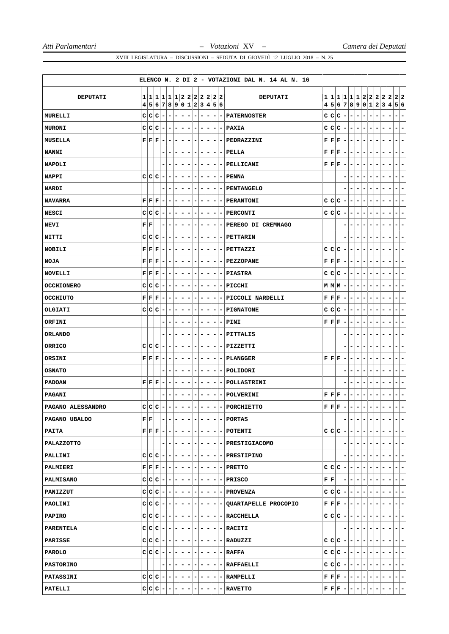|                   |                   |                                           |                          |                          |                          |   |                                                            |                              |                              |       |    |         |                          | ELENCO N. 2 DI 2 - VOTAZIONI DAL N. 14 AL N. 16 |   |                                |                                                                                       |                          |         |                                                                                                          |                                                          |                          |       |   |                                        |
|-------------------|-------------------|-------------------------------------------|--------------------------|--------------------------|--------------------------|---|------------------------------------------------------------|------------------------------|------------------------------|-------|----|---------|--------------------------|-------------------------------------------------|---|--------------------------------|---------------------------------------------------------------------------------------|--------------------------|---------|----------------------------------------------------------------------------------------------------------|----------------------------------------------------------|--------------------------|-------|---|----------------------------------------|
| <b>DEPUTATI</b>   | $\mathbf{1}$<br>4 |                                           |                          |                          |                          |   | 1 1 1 1 2 2 2 2 2 2 <br>5 6 7 8 9 0 1 2 3 4 5 6            |                              |                              |       |    |         |                          | DEPUTATI                                        |   |                                |                                                                                       |                          |         | 1 1 1 1 1 1 2 2 2 2 2 <br>4 5 6 7 8 9 0 1                                                                |                                                          |                          | 2 3 4 |   | 22<br>5 6                              |
| MURELLI           |                   | c c                                       | c                        | ۰                        | $\overline{a}$           | - | -                                                          | $\overline{\phantom{a}}$     | -                            |       |    |         |                          | <b>PATERNOSTER</b>                              | C | c                              | c                                                                                     | $\overline{\phantom{a}}$ | -       | -<br>$\overline{\phantom{a}}$                                                                            | -                                                        |                          |       |   |                                        |
| <b>MURONI</b>     |                   | C C                                       | c                        | ۰                        | $\overline{\phantom{a}}$ | - | ۰                                                          | ۰                            | -                            | ۰     | -  | -       | $\overline{\phantom{a}}$ | PAXIA                                           |   |                                | C C C                                                                                 | $\overline{\phantom{a}}$ | ۰       | ۰<br>۰                                                                                                   | -                                                        |                          |       |   | -<br>-                                 |
| MUSELLA           |                   | ${\bf F} \,   \, {\bf F} \,   \, {\bf F}$ |                          | $\overline{\phantom{a}}$ | $\overline{\phantom{a}}$ | - |                                                            | $\overline{\phantom{a}}$     | -                            |       | -  | -       | $\overline{\phantom{a}}$ | PEDRAZZINI                                      |   |                                | ${\bf F} \,   \, {\bf F} \,   \, {\bf F}$                                             | $\overline{\phantom{a}}$ | -       | -<br>$\overline{\phantom{a}}$                                                                            | -                                                        |                          |       |   | -<br>-                                 |
| <b>NANNI</b>      |                   |                                           |                          |                          | $\overline{a}$           | - | -                                                          | -                            | -                            | -     | -  | -       | $\overline{\phantom{a}}$ | PELLA                                           |   |                                | ${\bf F} \,   \, {\bf F} \,   \, {\bf F}$                                             | $\overline{\phantom{a}}$ | ۰       | $\overline{\phantom{a}}$<br>۰                                                                            | -                                                        |                          |       |   | -                                      |
| <b>NAPOLI</b>     |                   |                                           |                          |                          |                          |   |                                                            | -                            |                              |       |    | -       | -                        | PELLICANI                                       |   |                                | ${\bf F} \,   \, {\bf F} \,   \, {\bf F}$                                             | $\overline{\phantom{a}}$ | -       | ۰<br>-                                                                                                   |                                                          |                          |       |   | ۰<br>-                                 |
| <b>NAPPI</b>      |                   | C C C                                     |                          | ۰                        |                          |   |                                                            |                              |                              |       |    |         |                          | PENNA                                           |   |                                |                                                                                       |                          |         |                                                                                                          |                                                          |                          |       |   | -                                      |
| <b>NARDI</b>      |                   |                                           |                          |                          | -                        | - | ۰                                                          | ۰                            | -                            | ۰     | -  | -       | $\overline{\phantom{a}}$ | PENTANGELO                                      |   |                                |                                                                                       |                          | -       | ۰<br>-                                                                                                   | -                                                        |                          | ۰     |   | -<br>۰                                 |
| <b>NAVARRA</b>    |                   | ${\bf F} \,   \, {\bf F} \,   \, {\bf F}$ |                          | ۰                        | -                        | - | ۰                                                          | -                            | -                            |       |    | -       |                          | <b>PERANTONI</b>                                |   |                                | C C C                                                                                 | $\overline{\phantom{a}}$ | ۰       | ۰<br>۰                                                                                                   | -                                                        |                          |       |   | ۰<br>-                                 |
| <b>NESCI</b>      |                   | c c                                       | c                        | -                        |                          |   |                                                            |                              |                              |       |    |         |                          | <b>PERCONTI</b>                                 |   |                                | C C C                                                                                 | -                        | -       |                                                                                                          |                                                          |                          |       |   | -                                      |
| NEVI              |                   | ${\bf F} \,   \, {\bf F}$                 |                          |                          | -                        | - | ۰                                                          | -                            | -                            |       |    | -       | $\sim$                   | PEREGO DI CREMNAGO                              |   |                                |                                                                                       | -                        | ۰       | ۰<br>-                                                                                                   | -                                                        |                          |       |   | -<br>۰                                 |
| NITTI             | C                 | c                                         | с                        | ۰                        | ۰                        | ۰ | ۰                                                          | -                            | -                            |       |    | -       | -                        | PETTARIN                                        |   |                                |                                                                                       |                          | ۰       | -<br>-                                                                                                   | -                                                        |                          |       |   | ۰<br>۰                                 |
| <b>NOBILI</b>     |                   | ${\bf F} \, \, {\bf F} \, \, {\bf F}$     |                          | ۰                        | -                        | - |                                                            | -                            |                              |       |    | -       |                          | PETTAZZI                                        |   |                                | C C C                                                                                 | $\overline{ }$           | ۰       | ۰<br>-                                                                                                   |                                                          |                          |       |   | -                                      |
| <b>NOJA</b>       |                   | ${\bf F} \,   \, {\bf F} \,   \, {\bf F}$ |                          | ۰                        | $\overline{\phantom{a}}$ | - | ۰                                                          | ۰                            | -                            |       |    | -       |                          | - PEZZOPANE                                     |   |                                | ${\bf F} \,   \, {\bf F} \,   \, {\bf F}$                                             | $\overline{\phantom{a}}$ | ۰       | ۰<br>۰                                                                                                   | -                                                        |                          |       |   | -<br>-                                 |
| <b>NOVELLI</b>    |                   | ${\bf F} \,   \, {\bf F} \,   \, {\bf F}$ |                          | ۰                        | ۰                        | ۰ | ۰                                                          | -                            | -                            |       | ۰  | -       | $\overline{\phantom{a}}$ | <b>PIASTRA</b>                                  |   | C C                            | c                                                                                     | $\overline{\phantom{a}}$ | ۰       | ۰<br>۰                                                                                                   | -                                                        |                          |       |   | -<br>-                                 |
| <b>OCCHIONERO</b> |                   | C C                                       | c                        | ٠                        | -                        | - | -                                                          | ۰                            | -                            | -     | -  | -       | - 1                      | PICCHI                                          |   |                                | $M$ $M$ $M$ $-$                                                                       |                          | ٠       | ۰<br>٠                                                                                                   | -                                                        |                          |       |   | ۰<br>-                                 |
| OCCHIUTO          |                   | ${\bf F} \,   \, {\bf F} \,   \, {\bf F}$ |                          | $\overline{\phantom{a}}$ | $\overline{\phantom{a}}$ | - |                                                            | -                            |                              |       |    |         |                          | PICCOLI NARDELLI                                |   |                                | ${\bf F} \,   \, {\bf F} \,   \, {\bf F}$                                             | $\overline{\phantom{a}}$ | -       | ۰<br>$\overline{\phantom{a}}$                                                                            |                                                          |                          |       |   | -                                      |
| OLGIATI           |                   | C C                                       | c                        | ۰                        | -                        | - |                                                            | -                            | -                            |       |    | -       | -                        | <b>PIGNATONE</b>                                | c | c                              | c                                                                                     | ٠                        | -       | -<br>$\overline{\phantom{a}}$                                                                            | -                                                        |                          |       |   | -                                      |
| ORFINI            |                   |                                           |                          |                          | -                        | ۰ | -                                                          | -                            | -                            | -     | -  | -       | - 1                      | PINI                                            |   |                                | ${\bf F} \,   \, {\bf F} \,   \, {\bf F}$                                             | ٠                        | -       | ۰<br>٠                                                                                                   |                                                          |                          |       |   | -                                      |
| <b>ORLANDO</b>    |                   |                                           |                          |                          |                          |   |                                                            | $\qquad \qquad \blacksquare$ | -                            |       |    |         |                          | PITTALIS                                        |   |                                |                                                                                       |                          |         |                                                                                                          |                                                          |                          |       |   | Ξ.<br>-                                |
| <b>ORRICO</b>     | C                 | c                                         | с                        | ۰                        | $\overline{\phantom{a}}$ | - | -                                                          | $\qquad \qquad \blacksquare$ | -                            |       |    | -       | $\overline{\phantom{a}}$ | PIZZETTI                                        |   |                                |                                                                                       |                          |         |                                                                                                          |                                                          |                          |       |   | -                                      |
| ORSINI            |                   | ${\bf F} \,   \, {\bf F} \,   \, {\bf F}$ |                          | ۰                        | ۰                        | - | ۰                                                          | -                            | -                            | ۰     | -  | -       | -                        | <b>PLANGGER</b>                                 |   |                                | ${\bf F} \,   \, {\bf F} \,   \, {\bf F}$                                             | $\overline{\phantom{a}}$ | -       | -<br>۰                                                                                                   |                                                          |                          |       |   |                                        |
| <b>OSNATO</b>     |                   |                                           |                          |                          |                          |   |                                                            | -                            | -                            |       | -  |         |                          | POLIDORI                                        |   |                                |                                                                                       | -                        | ۳       |                                                                                                          |                                                          |                          |       |   | -<br>-                                 |
| <b>PADOAN</b>     |                   | ${\bf F} \, \, {\bf F} \, \, {\bf F}$     |                          | $\overline{\phantom{a}}$ | $\overline{\phantom{a}}$ | - | ۰                                                          | $\overline{\phantom{a}}$     | -                            | -     | -  | -       | $\overline{\phantom{a}}$ | POLLASTRINI                                     |   |                                |                                                                                       |                          | -       | $\qquad \qquad \blacksquare$                                                                             |                                                          |                          |       |   | -                                      |
| <b>PAGANI</b>     |                   |                                           |                          |                          |                          |   |                                                            | -                            |                              | ۰     | ۰  | -       | -                        | POLVERINI                                       |   |                                | ${\bf F} \,   \, {\bf F} \,   \, {\bf F}$                                             |                          | -       | ۰<br>٠                                                                                                   |                                                          |                          |       |   | ۰                                      |
| PAGANO ALESSANDRO |                   |                                           | c c c                    |                          |                          |   |                                                            |                              |                              |       |    |         |                          | PORCHIETTO                                      |   |                                | $\mathbf{F} \mathbf{F} \mathbf{F}$                                                    |                          |         |                                                                                                          |                                                          |                          |       |   |                                        |
| PAGANO UBALDO     |                   | ${\bf F} \,   \, {\bf F} \,  $            |                          |                          |                          |   | $- - - - $                                                 |                              | $- - - $                     |       |    | $-1-$   |                          | - PORTAS                                        |   |                                |                                                                                       |                          | $- - -$ |                                                                                                          | $\lfloor - \rfloor$ $\lfloor - \rfloor$                  | н.                       | Ξ.    |   | -<br>$\blacksquare$                    |
| PAITA             |                   |                                           |                          |                          |                          |   |                                                            |                              |                              |       |    |         |                          | $F F F - - - - - - - - - $ POTENTI              |   |                                |                                                                                       |                          |         | $C C C - - - - $                                                                                         |                                                          | ٠                        | - 1   | ٠ | $- -$                                  |
| PALAZZOTTO        |                   |                                           |                          |                          |                          |   | -1-1                                                       | $-1$                         | $\blacksquare$               | l – I | -1 |         |                          | $-$ - PRESTIGIACOMO                             |   |                                |                                                                                       |                          | -       |                                                                                                          | ÷.                                                       |                          | -     |   | $- -$                                  |
| PALLINI           |                   |                                           |                          |                          |                          |   | $C C C - - - - - - $                                       |                              |                              |       |    |         |                          | $- - $ - PRESTIPINO                             |   |                                |                                                                                       | -                        | $-1-$   |                                                                                                          | $-1-$                                                    | $\overline{\phantom{a}}$ | - 1   | ۰ | $ -$                                   |
| PALMIERI          |                   |                                           |                          |                          |                          |   | ${\bf F}  {\bf F}   {\bf F}   -   -   -   -   -   -   -  $ |                              |                              |       |    |         |                          | $- - $ - PRETTO                                 |   |                                | $C C C - - - $                                                                        |                          |         |                                                                                                          | $-1-$                                                    | $\overline{\phantom{a}}$ | - 1   | - | $ - -$                                 |
| <b>PALMISANO</b>  |                   |                                           |                          |                          |                          |   |                                                            |                              |                              |       |    |         |                          | $C C C - - - - - - - - PRLSCO$                  |   | ${\bf F} \,   \, {\bf F} \,  $ |                                                                                       |                          | ----    |                                                                                                          | $-1-$                                                    | т.                       | ۰.    |   | $- -$                                  |
| PANIZZUT          |                   |                                           |                          |                          |                          |   |                                                            |                              |                              |       |    |         |                          | $C C C - - - - - - - - PROVENZA $               |   |                                |                                                                                       |                          |         | $C C C - - - - - - $                                                                                     |                                                          |                          | -1-   |   | $ - -$                                 |
| PAOLINI           |                   |                                           | $c c c - - - $           |                          |                          |   |                                                            |                              | $- - - $                     |       |    |         |                          | $- - $ QUARTAPELLE PROCOPIO                     |   |                                |                                                                                       |                          |         | $\mathbf{F} \left  \mathbf{F} \right  \mathbf{F} \left  - \left  - \left  - \right  - \right  - \right $ |                                                          | $\overline{\phantom{a}}$ | -1    | - | $=$ $=$                                |
| PAPIRO            |                   |                                           |                          |                          |                          |   | $c c c - - - - - - $                                       |                              |                              |       |    |         |                          | $- - $ - RACCHELLA                              |   |                                |                                                                                       |                          |         | $ c c c $ - $ - - - - $                                                                                  |                                                          | $\overline{ }$           | -1    | ٠ | $=$ $=$                                |
| <b>PARENTELA</b>  |                   |                                           |                          |                          |                          |   | $C C C - - - - - - $                                       |                              |                              |       |    | $-1-$   |                          | - RACITI                                        |   |                                |                                                                                       |                          | ----    |                                                                                                          | $-1-$                                                    | ÷.                       | $-1$  | ٠ | $- -$                                  |
| PARISSE           |                   |                                           | $C C C - - - -$          |                          |                          |   |                                                            | $\overline{a}$               | $\blacksquare$               | $ - $ |    |         |                          | $- - $ -   RADUZZI                              |   |                                | $C C C - - -$                                                                         |                          |         |                                                                                                          | $ -$                                                     | $\overline{\phantom{a}}$ | Ξ.    | - | $ -$                                   |
| <b>PAROLO</b>     |                   |                                           |                          |                          |                          |   | $c c c - - - - - - $                                       |                              |                              |       |    | $=$ $-$ |                          | $-$ RAFFA                                       |   |                                |                                                                                       |                          |         | $C C C - - - - - $                                                                                       |                                                          | l – I                    | $-1-$ |   | $=$ $=$                                |
| <b>PASTORINO</b>  |                   |                                           |                          |                          |                          |   | $- - - - - - $                                             |                              |                              |       |    |         |                          | $- - $ - RAFFAELLI                              |   |                                |                                                                                       |                          |         | $c c c - $ - - - - - - -                                                                                 |                                                          |                          |       |   | $\left\vert -\right\vert -\right\vert$ |
| <b>PATASSINI</b>  |                   |                                           | $c c c - - - $           |                          |                          |   |                                                            |                              |                              |       |    |         |                          | $ - - - - $ - $ RAMPELLI$                       |   |                                |                                                                                       |                          |         | $\mathbf{F} \mathbf{F} \mathbf{F} - - - - - - - $                                                        |                                                          |                          |       |   | $ - - $                                |
| PATELLI           |                   |                                           | $ c c c $ - $ - $ - $ -$ |                          |                          |   |                                                            | $\blacksquare$               | $\qquad \qquad \blacksquare$ |       |    |         |                          | - RAVETTO                                       |   |                                | $\mathbf{F} \left  \mathbf{F} \right  \mathbf{F} \left  - \right  - \left  - \right $ |                          |         |                                                                                                          | $\qquad \qquad \blacksquare$<br>$\overline{\phantom{a}}$ |                          | -     |   |                                        |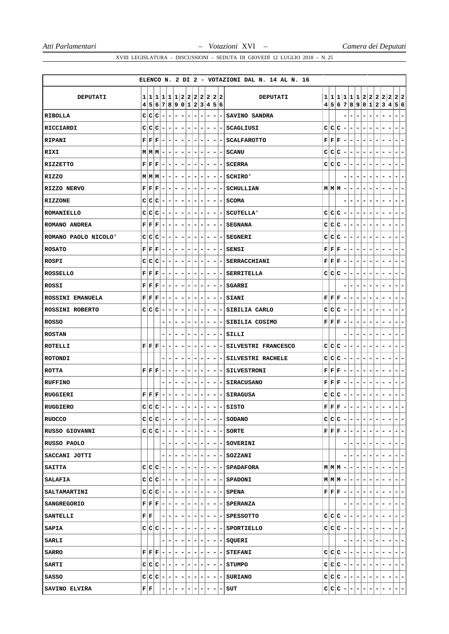|                        |                                                |                                                                      |                              |                          |                          |                              |                          |                          |                              |                          |                          |                | ELENCO N. 2 DI 2 - VOTAZIONI DAL N. 14 AL N. 16 |   |                                           |                                                             |                          |                              |                              |                                                                                                          |                          |   |                          |                                                      |                              |
|------------------------|------------------------------------------------|----------------------------------------------------------------------|------------------------------|--------------------------|--------------------------|------------------------------|--------------------------|--------------------------|------------------------------|--------------------------|--------------------------|----------------|-------------------------------------------------|---|-------------------------------------------|-------------------------------------------------------------|--------------------------|------------------------------|------------------------------|----------------------------------------------------------------------------------------------------------|--------------------------|---|--------------------------|------------------------------------------------------|------------------------------|
|                        |                                                |                                                                      |                              |                          |                          |                              |                          |                          |                              |                          |                          |                |                                                 |   |                                           |                                                             |                          |                              |                              |                                                                                                          |                          |   |                          |                                                      |                              |
| <b>DEPUTATI</b>        | 1 1 <br>45                                     | 1 1 1 1 2 2 2 2 2 2 2 2 <br> 6 7 8 9 0 1 2 3 4 5 6                   |                              |                          |                          |                              |                          |                          |                              |                          |                          |                | <b>DEPUTATI</b>                                 | 4 |                                           |                                                             |                          |                              |                              |                                                                                                          |                          |   |                          | 1 1 1 1 1 1 2 2 2 2 2 2 2<br>5 6 7 8 9 0 1 2 3 4 5 6 |                              |
| RIBOLLA                | c c                                            | c                                                                    | $\overline{\phantom{a}}$     | -                        | -                        | $\overline{\phantom{a}}$     | $\overline{\phantom{a}}$ | -                        | $\qquad \qquad \blacksquare$ | $\overline{\phantom{a}}$ | ۰                        | -              | SAVINO SANDRA                                   |   |                                           |                                                             |                          | $\overline{\phantom{a}}$     |                              | -                                                                                                        | ۰                        |   | $\overline{a}$           |                                                      | $\overline{a}$               |
| RICCIARDI              | c c                                            | c                                                                    |                              |                          | -                        |                              | $\overline{\phantom{a}}$ | -                        | ۰                            | ۰                        | ۰                        | ۰              | SCAGLIUSI                                       | c |                                           | c c                                                         | $\overline{\phantom{a}}$ | ۰                            | $\qquad \qquad \blacksquare$ | $\overline{\phantom{a}}$                                                                                 | -                        |   |                          |                                                      | ۰                            |
| RIPANI                 | ${\bf F} \,   \, {\bf F}  $                    | F                                                                    | $\qquad \qquad \blacksquare$ | $\overline{\phantom{a}}$ | $\overline{\phantom{a}}$ | $\overline{\phantom{a}}$     | $\overline{\phantom{a}}$ | ۰                        | $\overline{\phantom{a}}$     | Ξ.                       |                          |                | $- - $ SCALFAROTTO                              |   |                                           | ${\bf F} \,   \, {\bf F} \,   \, {\bf F}$                   | $\overline{\phantom{a}}$ | $\blacksquare$               | $\overline{\phantom{a}}$     | $\overline{\phantom{a}}$                                                                                 | -                        | - |                          | ۰                                                    | $\overline{a}$               |
| RIXI                   | $M$ $M$ $M$                                    |                                                                      | $\overline{\phantom{a}}$     | ۰                        | ۰                        | $\overline{\phantom{a}}$     | $\overline{\phantom{a}}$ | ۰                        | $\overline{\phantom{a}}$     | $\overline{\phantom{a}}$ | ۰                        |                | - SCANU                                         | c |                                           | C C                                                         | ۰                        | ۰                            | ۰                            | $\overline{\phantom{a}}$                                                                                 | -                        |   |                          |                                                      | $\overline{a}$               |
| <b>RIZZETTO</b>        | ${\bf F} \,   \, {\bf F}  $                    | F                                                                    | $\overline{\phantom{a}}$     | -                        | -                        | $\qquad \qquad \blacksquare$ | $\overline{\phantom{a}}$ | -                        | ۰                            | ۰                        | ۰                        | ۰              | <b>SCERRA</b>                                   |   |                                           | C C C                                                       | $\overline{\phantom{a}}$ | ۰                            | -                            | ۰                                                                                                        | ۰                        |   |                          |                                                      | $\overline{a}$               |
| RIZZO                  | M M M                                          |                                                                      | $\overline{\phantom{a}}$     | -                        | ۰                        | $\overline{\phantom{0}}$     | $\overline{\phantom{a}}$ | -                        | $\overline{\phantom{a}}$     | $\overline{\phantom{a}}$ | $\overline{\phantom{a}}$ | ٠              | SCHIRO'                                         |   |                                           |                                                             |                          | $\overline{\phantom{0}}$     |                              |                                                                                                          |                          |   |                          |                                                      | $\overline{a}$               |
| RIZZO NERVO            | ${\bf F} \,   \, {\bf F}  $                    | $ {\bf F} $                                                          | $\overline{\phantom{a}}$     | ۰                        | ۰                        | -                            | ۰                        | -                        | ۰                            | ۰                        | -                        | ۰              | <b>SCHULLIAN</b>                                |   |                                           | $M$ $M$ $M$                                                 | ۰                        | ۰                            | -                            | -                                                                                                        | ۰                        |   |                          |                                                      | $\overline{a}$               |
| <b>RIZZONE</b>         | C C                                            | $ {\bf C} $                                                          | $\overline{\phantom{a}}$     | ۰                        | ۰.                       | ٠                            | ۰                        | ۰                        | ۰                            | ۰                        | -                        | ۰.             | <b>SCOMA</b>                                    |   |                                           |                                                             | -                        | ۰                            |                              | -                                                                                                        | ۰                        |   |                          |                                                      | ٠                            |
| <b>ROMANIELLO</b>      | C C                                            | $ {\bf C} $<br>$\overline{\phantom{a}}$                              |                              | -                        | ۰                        | $\qquad \qquad \blacksquare$ | $\overline{\phantom{a}}$ | -                        | $\qquad \qquad \blacksquare$ | $\overline{\phantom{a}}$ | -                        |                | <b>SCUTELLA'</b>                                |   |                                           | C C C                                                       | $\overline{a}$           | $\qquad \qquad \blacksquare$ | $\overline{\phantom{0}}$     | -                                                                                                        | -                        |   |                          |                                                      | $\overline{a}$               |
| ROMANO ANDREA          | ${\bf F} \,   \, {\bf F}  $                    | F                                                                    | ۰                            | ۰                        | -                        | -                            | ۰                        | -                        | ۰                            | ۰                        | -                        |                | <b>SEGNANA</b>                                  | c |                                           | C C                                                         | ۰                        | ۰                            | ۰                            | $\overline{\phantom{a}}$                                                                                 | -                        |   |                          |                                                      | $\overline{a}$               |
| ROMANO PAOLO NICOLO'   | C C                                            | c                                                                    |                              | -                        | ۰                        | ۰                            | -<br>۰                   |                          | ۰                            | ۰                        | ۰                        | ۰              | <b>SEGNERI</b>                                  | с |                                           | c c                                                         | ۰                        | ٠                            | ۰                            | ۰                                                                                                        | ۰                        |   |                          |                                                      | ٠                            |
| <b>ROSATO</b>          | ${\bf F} \,   \, {\bf F}  $                    | $ \mathbf{F} $                                                       |                              |                          | ۰                        |                              |                          | -                        | ۰                            |                          | -                        |                | <b>SENSI</b>                                    | F |                                           | F F                                                         |                          | -                            |                              |                                                                                                          |                          |   |                          |                                                      | -                            |
| <b>ROSPI</b>           | c c                                            | c                                                                    | $\overline{\phantom{a}}$     | ۰                        | -                        | $\overline{\phantom{a}}$     | ٠                        | ۰                        | ۰                            | -                        | ۰                        | $\blacksquare$ | SERRACCHIANI                                    |   | ${\bf F} \,   \, {\bf F} \,   \, {\bf F}$ |                                                             | ۰                        | $\overline{\phantom{a}}$     | $\qquad \qquad \blacksquare$ | -                                                                                                        | -                        | ۰ | -                        | -                                                    | -                            |
| <b>ROSSELLO</b>        | ${\bf F} \,   \, {\bf F}  $                    | F                                                                    | ۰                            | ۰                        | -                        | ۰                            | ۰                        | ۰                        | ۰                            | ۰                        | ۰                        | ۰              | SERRITELLA                                      |   |                                           | C C C                                                       | $\overline{\phantom{a}}$ | ۰                            | ۰                            | ۰                                                                                                        | ۰                        | - |                          | ۰                                                    | $\overline{a}$               |
| ROSSI                  | ${\bf F} \,   \, {\bf F}  $                    | $ \mathbf{F} $                                                       |                              |                          | ۰                        |                              | -                        |                          | ۰                            |                          | -                        |                | <b>SGARBI</b>                                   |   |                                           |                                                             |                          | -                            |                              |                                                                                                          |                          |   |                          |                                                      |                              |
| ROSSINI EMANUELA       | ${\bf F} \,   \, {\bf F}  $                    | $\bf F$                                                              | $\overline{\phantom{a}}$     | ۰                        | -                        | $\overline{\phantom{a}}$     | -                        | -                        | ۰                            | -                        | $\overline{\phantom{a}}$ |                | - SIANI                                         | F | F F                                       |                                                             | $\overline{\phantom{a}}$ | ۰                            | $\qquad \qquad \blacksquare$ | ۰                                                                                                        | -                        | ۰ | -                        | ۰                                                    | -                            |
| <b>ROSSINI ROBERTO</b> | C C                                            | $ {\bf C} $                                                          | ۰                            | -                        | ۰                        | -                            | ۰                        | ۰                        | ۰                            | ۰                        | -                        | ۰.             | SIBILIA CARLO                                   |   |                                           | C C C                                                       | $\overline{\phantom{a}}$ | -                            | ۰                            | ۰                                                                                                        | -                        | - | -                        |                                                      | $\overline{a}$               |
| <b>ROSSO</b>           |                                                |                                                                      |                              |                          | -                        |                              |                          | -                        | ۰                            | ۰                        | ۰                        | -              | SIBILIA COSIMO                                  |   |                                           | ${\bf F} \,   \, {\bf F} \,   \, {\bf F}$                   | ۰                        | -                            | -                            |                                                                                                          |                          |   |                          |                                                      |                              |
| <b>ROSTAN</b>          |                                                |                                                                      |                              | -                        | ۰                        | -                            | ۰                        | -                        | $\overline{\phantom{a}}$     | ۰                        | $\overline{\phantom{a}}$ |                | -ISILLI                                         |   |                                           |                                                             | -                        | ۰                            | -                            | ۰                                                                                                        | ۰                        | - |                          | ۰                                                    | $\overline{a}$               |
| ROTELLI                | ${\bf F} \,   \, {\bf F}  $                    | F                                                                    | $\overline{\phantom{a}}$     | -                        | ۰                        | ۰                            | ۰                        | -                        | ۰                            | ۰                        | ۰                        | $\blacksquare$ | SILVESTRI FRANCESCO                             | с |                                           | c c                                                         | ۰                        | ۰                            | ۰                            | $\overline{\phantom{a}}$                                                                                 | -                        |   |                          |                                                      | $\overline{a}$               |
| <b>ROTONDI</b>         |                                                |                                                                      |                              |                          | -                        |                              |                          |                          | ۰                            | -                        | -                        | ۰              | SILVESTRI RACHELE                               | c |                                           | C C                                                         | ۰                        | ٠                            | -                            | -                                                                                                        |                          |   |                          |                                                      |                              |
| <b>ROTTA</b>           | ${\bf F} \,   \, {\bf F} \,   \, {\bf F} \,$   |                                                                      | -                            | -                        | -                        | ۰                            | $\overline{\phantom{a}}$ | -                        | ۰                            | $\overline{\phantom{a}}$ | -                        | ۰              | <b>SILVESTRONI</b>                              |   | ${\bf F} \,   \, {\bf F} \,   \, {\bf F}$ |                                                             | $\overline{\phantom{a}}$ | -                            | $\overline{\phantom{a}}$     | $\overline{\phantom{a}}$                                                                                 | -                        |   |                          |                                                      | -                            |
| <b>RUFFINO</b>         |                                                |                                                                      |                              | -                        | -                        |                              | -                        | -                        | ۰                            | ۰                        | ۰                        | $\blacksquare$ | <b>SIRACUSANO</b>                               | F | $ {\bf F} {\bf F}$                        |                                                             | ۰                        | ۰                            | -                            | $\overline{\phantom{a}}$                                                                                 | -                        |   |                          |                                                      | $\overline{a}$               |
| <b>RUGGIERI</b>        | ${\bf F} \,   \, {\bf F} \,   \, {\bf F} \,  $ |                                                                      |                              | -                        | -                        | ۰                            | ۰                        | ۳                        | ۰                            | ۰                        | -                        | -              | SIRAGUSA                                        | c |                                           | C C                                                         | -                        | -                            | -                            | -                                                                                                        |                          |   |                          |                                                      | $\overline{a}$               |
| <b>RUGGIERO</b>        | $\mathsf{C}$                                   | $ C C $ –                                                            |                              | $\overline{\phantom{a}}$ | - 1                      | $\overline{\phantom{a}}$     | $\overline{\phantom{a}}$ | -                        | $\sim$                       | $-1-$                    |                          |                | $-$ SISTO                                       |   |                                           | ${\bf F} \,   \, {\bf F} \,   \, {\bf F} \,  $              | $\overline{a}$           | $\blacksquare$               | $\overline{\phantom{a}}$     | $\overline{\phantom{a}}$                                                                                 | -                        | - |                          | -<br>-                                               | $\overline{\phantom{0}}$     |
| <b>RUOCCO</b>          |                                                | $C C C - $                                                           |                              | $\vert - \vert$          | $\overline{a}$           | $\overline{\phantom{a}}$     | $\overline{\phantom{a}}$ | $\overline{\phantom{0}}$ | $\overline{\phantom{a}}$     | Ξ.                       | $\blacksquare$           |                | - SODANO                                        |   |                                           | $C C C$ -                                                   |                          | $\blacksquare$               | $\overline{\phantom{a}}$     | $\overline{\phantom{a}}$                                                                                 | $\overline{\phantom{m}}$ |   |                          |                                                      | $\overline{a}$               |
| RUSSO GIOVANNI         |                                                | $c c c - $                                                           |                              |                          | $- -$                    |                              | $\blacksquare$           | $- - $                   |                              |                          |                          |                | $- - $ SORTE                                    |   |                                           | $\mathbf{F} \,   \, \mathbf{F} \,   \, \mathbf{F} \,   = 1$ |                          | $\overline{\phantom{a}}$     | $\overline{\phantom{a}}$     | $\overline{ }$                                                                                           | ۰                        | ۰ | ٠                        | ۰                                                    | $\qquad \qquad \blacksquare$ |
| RUSSO PAOLO            |                                                |                                                                      |                              |                          | -                        |                              | $\blacksquare$           | $\blacksquare$           |                              |                          |                          |                | - - - - SOVERINI                                |   |                                           |                                                             |                          | ۰                            |                              | $\blacksquare$                                                                                           | ۰                        |   | $\overline{\phantom{a}}$ | Ξ.                                                   | $\blacksquare$               |
| SACCANI JOTTI          |                                                |                                                                      |                              |                          | ۰                        |                              | $\overline{\phantom{a}}$ | $-1-$                    |                              |                          |                          |                | - - - SOZZANI                                   |   |                                           |                                                             |                          | ۰                            |                              | $\overline{\phantom{a}}$                                                                                 | ۰                        |   |                          | ۰                                                    | $\overline{\phantom{a}}$     |
| <b>SAITTA</b>          |                                                | $C C C$ -                                                            |                              | $\overline{\phantom{a}}$ | -1-                      |                              | Ξ.                       | $-1-1$                   |                              |                          |                          |                | $- - $ SPADAFORA                                |   |                                           | $M M M $ –                                                  |                          | $\overline{\phantom{0}}$     | ٠                            | ۰.                                                                                                       | -                        | - |                          | - 1                                                  | $\overline{\phantom{a}}$     |
| SALAFIA                |                                                | $C C C - -$                                                          |                              |                          | - -                      |                              | ٠                        | -                        | $(-)$                        |                          |                          |                | $- - $ - SPADONI                                |   |                                           | $M$ $M$ $M$ $-$                                             |                          | $ -$                         |                              | $\overline{ }$                                                                                           | -                        |   |                          |                                                      | $\overline{\phantom{a}}$     |
| <b>SALTAMARTINI</b>    |                                                | $c c c - - - $                                                       |                              |                          |                          |                              |                          |                          |                              |                          |                          |                | $- - - - - $ SPENA                              |   |                                           |                                                             |                          |                              |                              | $\mathbf{F}\left \mathbf{F}\left \mathbf{F}\right -\left -\left -\left -\right -\right -\right -\right.$ |                          |   | $\overline{\phantom{a}}$ | -                                                    | ÷                            |
| <b>SANGREGORIO</b>     |                                                | $\mathbf{F} \left  \mathbf{F} \right  \mathbf{F} \left  - \right  -$ |                              |                          | -1-                      |                              | $\overline{a}$           |                          |                              |                          |                          |                | - - - - - SPERANZA                              |   |                                           |                                                             | -                        | ÷.                           | $\overline{\phantom{a}}$     | $\overline{ }$                                                                                           | -                        | - | ٠                        | ٠<br>۰                                               | $\overline{\phantom{a}}$     |
| <b>SANTELLI</b>        | ${\bf F} \,   \, {\bf F} \,$                   |                                                                      |                              |                          | Ξ.                       | ٠                            |                          | Ξ.                       | $\overline{\phantom{a}}$     |                          |                          |                | $- - SPESSOTTO$                                 |   |                                           | $C C C$ -                                                   |                          | $-1-$                        |                              | н.                                                                                                       | -                        |   |                          |                                                      | -                            |
| SAPIA                  |                                                | $c c c - $ -                                                         |                              |                          | $ -$                     |                              | $\overline{a}$           | $-1-1$                   |                              |                          |                          |                | $- - $ - SPORTIELLO                             |   |                                           |                                                             |                          |                              |                              | $ c c c $ - $ - - - - $                                                                                  |                          | ٠ | н.                       | ۰.                                                   | $\overline{\phantom{a}}$     |
| <b>SARLI</b>           |                                                |                                                                      |                              | ۰                        | - 1                      | $\overline{\phantom{a}}$     | $\blacksquare$           | $-1-1$                   |                              |                          |                          |                | $- - SQUERI $                                   |   |                                           |                                                             | Ξ.                       | -1                           | ۰                            | $\overline{ }$                                                                                           | $\overline{\phantom{a}}$ | - | -                        | -<br>۰                                               | $\overline{\phantom{0}}$     |
| <b>SARRO</b>           |                                                | $\mathbf{F} \left  \mathbf{F} \right  \mathbf{F} \left  - \right  -$ |                              |                          | $- -$                    |                              | $\overline{\phantom{a}}$ | - 1                      |                              |                          |                          |                | $- - - $ STEFANI                                |   |                                           | $C C C - - - -$                                             |                          |                              |                              |                                                                                                          | -                        |   |                          | ۰.                                                   | $\overline{\phantom{a}}$     |
| <b>SARTI</b>           |                                                | $C C C - - - - $                                                     |                              |                          |                          |                              |                          |                          |                              |                          |                          |                | $- - - - - $ STUMPO                             |   |                                           |                                                             |                          |                              |                              | $C C C - - - - - $                                                                                       |                          |   | ۰                        | -1<br>۰                                              | $\overline{\phantom{a}}$     |
| SASSO                  |                                                | $ c c c $ - $ - - $                                                  |                              |                          |                          |                              |                          |                          |                              |                          |                          |                | $ - - - - $ SURIANO                             |   |                                           |                                                             |                          |                              |                              | $ C C C  -   -   -   -   -   -  $                                                                        |                          |   | $\blacksquare$           | ۰.                                                   | $ - -$                       |
| SAVINO ELVIRA          | ${\bf F} \,   \, {\bf F} \,$                   |                                                                      |                              |                          | -                        | -                            | ٠                        | ۳                        | -                            | ۰.                       | -                        |                | SUT                                             |   |                                           | $c c c$ -                                                   |                          | -1-                          |                              | H.                                                                                                       | $=$ $=$                  |   | Ξ.                       |                                                      | $\left( -\right)$            |